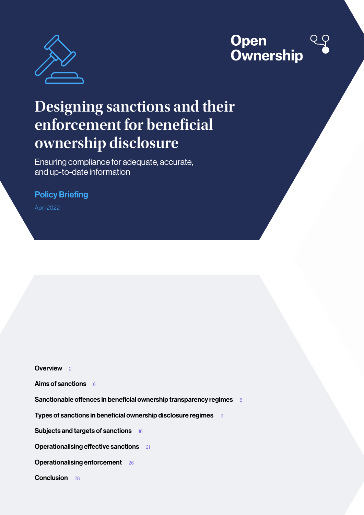

## **Open Ownership**

# **Designing sanctions and their enforcement for beneficial ownership disclosure**

Ensuring compliance for adequate, accurate, and up-to-date information

## Policy Briefing

April 2022

[Overview](#page-1-0) 2

[Aims of sanctions](#page-5-0)  $66$ 

[Sanctionable offences in beneficial ownership transparency regimes](#page-7-0) 8

[Types of sanctions in beneficial ownership disclosure regimes](#page-10-0) 11

[Subjects and targets of sanctions](#page-15-0) 16

**[Operationalising effective sanctions](#page-20-0)** 21

**[Operationalising enforcement](#page-25-0)** 26

[Conclusion](#page-27-0) 28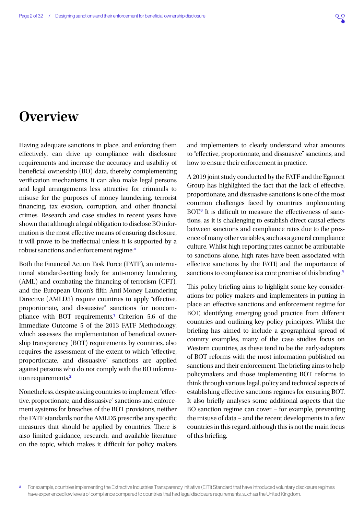## <span id="page-1-0"></span>**Overview**

Having adequate sanctions in place, and enforcing them effectively, can drive up compliance with disclosure requirements and increase the accuracy and usability of beneficial ownership (BO) data, thereby complementing verification mechanisms. It can also make legal persons and legal arrangements less attractive for criminals to misuse for the purposes of money laundering, terrorist financing, tax evasion, corruption, and other financial crimes. Research and case studies in recent years have shown that although a legal obligation to disclose BO information is the most effective means of ensuring disclosure, it will prove to be ineffectual unless it is supported by a robust sanctions and enforcement regime.<sup>a</sup>

Both the Financial Action Task Force (FATF), an international standard-setting body for anti-money laundering (AML) and combating the financing of terrorism (CFT), and the European Union's fifth Anti-Money Laundering Directive (AMLD5) require countries to apply "effective, proportionate, and dissuasive" sanctions for noncom-pliance with BOT requirements.<sup>[1](#page-28-0)</sup> Criterion 5.6 of the Immediate Outcome 5 of the 2013 FATF Methodology, which assesses the implementation of beneficial ownership transparency (BOT) requirements by countries, also requires the assessment of the extent to which "effective, proportionate, and dissuasive" sanctions are applied against persons who do not comply with the BO information requirements.[2](#page-28-0)

Nonetheless, despite asking countries to implement "effective, proportionate, and dissuasive" sanctions and enforcement systems for breaches of the BOT provisions, neither the FATF standards nor the AMLD5 prescribe any specific measures that should be applied by countries. There is also limited guidance, research, and available literature on the topic, which makes it difficult for policy makers and implementers to clearly understand what amounts to "effective, proportionate, and dissuasive" sanctions, and how to ensure their enforcement in practice.

A 2019 joint study conducted by the FATF and the Egmont Group has highlighted the fact that the lack of effective, proportionate, and dissuasive sanctions is one of the most common challenges faced by countries implementing BOT.<sup>[3](#page-28-0)</sup> It is difficult to measure the effectiveness of sanctions, as it is challenging to establish direct causal effects between sanctions and compliance rates due to the presence of many other variables, such as a general compliance culture. Whilst high reporting rates cannot be attributable to sanctions alone, high rates have been associated with effective sanctions by the FATF, and the importance of sanctions to compliance is a core premise of this briefing.<sup>[4](#page-28-0)</sup>

This policy briefing aims to highlight some key considerations for policy makers and implementers in putting in place an effective sanctions and enforcement regime for BOT, identifying emerging good practice from different countries and outlining key policy principles. Whilst the briefing has aimed to include a geographical spread of country examples, many of the case studies focus on Western countries, as these tend to be the early-adopters of BOT reforms with the most information published on sanctions and their enforcement. The briefing aims to help policymakers and those implementing BOT reforms to think through various legal, policy and technical aspects of establishing effective sanctions regimes for ensuring BOT. It also briefly analyses some additional aspects that the BO sanction regime can cover – for example, preventing the misuse of data – and the recent developments in a few countries in this regard, although this is not the main focus of this briefing.

For example, countries implementing the Extractive Industries Transparency Initiative (EITI) Standard that have introduced voluntary disclosure regimes have experienced low levels of compliance compared to countries that had legal disclosure requirements, such as the United Kingdom.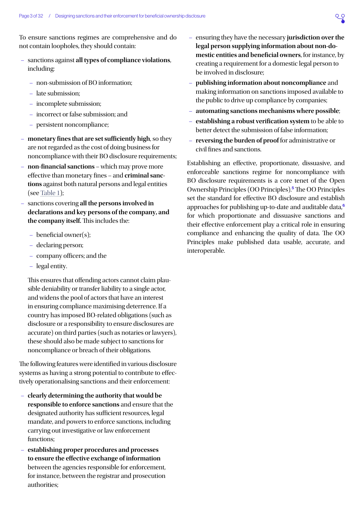<span id="page-2-0"></span>To ensure sanctions regimes are comprehensive and do not contain loopholes, they should contain:

- sanctions against **all types of compliance violations**, including:
	- non-submission of BO information;
	- late submission;
	- incomplete submission;
	- incorrect or false submission; and
	- persistent noncompliance;
- **monetary fines that are set sufficiently high**, so they are not regarded as the cost of doing business for noncompliance with their BO disclosure requirements;
- **non-financial sanctions**  which may prove more effective than monetary fines – and **criminal sanctions** against both natural persons and legal entities (see [Table 1](#page-3-0));
- sanctions covering **all the persons involved in declarations and key persons of the company, and the company itself.** This includes the:
	- beneficial owner(s);
	- declaring person;
	- company officers; and the
	- legal entity.

This ensures that offending actors cannot claim plausible deniability or transfer liability to a single actor, and widens the pool of actors that have an interest in ensuring compliance maximising deterrence. If a country has imposed BO-related obligations (such as disclosure or a responsibility to ensure disclosures are accurate) on third parties (such as notaries or lawyers), these should also be made subject to sanctions for noncompliance or breach of their obligations.

The following features were identified in various disclosure systems as having a strong potential to contribute to effectively operationalising sanctions and their enforcement:

- **clearly determining the authority that would be responsible to enforce sanctions** and ensure that the designated authority has sufficient resources, legal mandate, and powers to enforce sanctions, including carrying out investigative or law enforcement functions;
- **establishing proper procedures and processes to ensure the effective exchange of information** between the agencies responsible for enforcement, for instance, between the registrar and prosecution authorities;
- ensuring they have the necessary **jurisdiction over the legal person supplying information about non-domestic entities and beneficial owners**, for instance, by creating a requirement for a domestic legal person to be involved in disclosure;
- **publishing information about noncompliance** and making information on sanctions imposed available to the public to drive up compliance by companies;
- **automating sanctions mechanisms where possible**;
- **establishing a robust verification system** to be able to better detect the submission of false information;
- **reversing the burden of proof** for administrative or civil fines and sanctions.

Establishing an effective, proportionate, dissuasive, and enforceable sanctions regime for noncompliance with BO disclosure requirements is a core tenet of the Open Ownership Principles (OO Principles).[5](#page-28-0) The OO Principles set the standard for effective BO disclosure and establish approaches for publishing up-to-date and auditable data,<sup>[6](#page-28-0)</sup> for which proportionate and dissuasive sanctions and their effective enforcement play a critical role in ensuring compliance and enhancing the quality of data. The OO Principles make published data usable, accurate, and interoperable.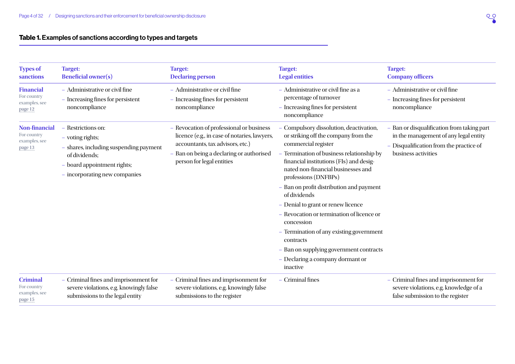## Table 1. Examples of sanctions according to types and targets

<span id="page-3-0"></span>

| <b>Types of</b><br>sanctions                                    | <b>Target:</b><br><b>Beneficial owner(s)</b>                                                                                                                      | <b>Target:</b><br><b>Declaring person</b>                                                                                                                                                             | <b>Target:</b><br><b>Legal entities</b>                                                                                                                                                                                                                                                                                                                                                                                                                                                                                                                                     | <b>Target:</b><br><b>Company officers</b>                                                                                                             |
|-----------------------------------------------------------------|-------------------------------------------------------------------------------------------------------------------------------------------------------------------|-------------------------------------------------------------------------------------------------------------------------------------------------------------------------------------------------------|-----------------------------------------------------------------------------------------------------------------------------------------------------------------------------------------------------------------------------------------------------------------------------------------------------------------------------------------------------------------------------------------------------------------------------------------------------------------------------------------------------------------------------------------------------------------------------|-------------------------------------------------------------------------------------------------------------------------------------------------------|
| <b>Financial</b><br>For country<br>examples, see<br>page 12     | - Administrative or civil fine<br>- Increasing fines for persistent<br>noncompliance                                                                              | - Administrative or civil fine<br>- Increasing fines for persistent<br>noncompliance                                                                                                                  | - Administrative or civil fine as a<br>percentage of turnover<br>- Increasing fines for persistent<br>noncompliance                                                                                                                                                                                                                                                                                                                                                                                                                                                         | - Administrative or civil fine<br>- Increasing fines for persistent<br>noncompliance                                                                  |
| <b>Non-financial</b><br>For country<br>examples, see<br>page 13 | - Restrictions on:<br>- voting rights;<br>- shares, including suspending payment<br>of dividends;<br>- board appointment rights;<br>- incorporating new companies | - Revocation of professional or business<br>licence (e.g., in case of notaries, lawyers,<br>accountants, tax advisors, etc.)<br>- Ban on being a declaring or authorised<br>person for legal entities | Compulsory dissolution, deactivation,<br>or striking off the company from the<br>commercial register<br>- Termination of business relationship by<br>financial institutions (FIs) and desig-<br>nated non-financial businesses and<br>professions (DNFBPs)<br>- Ban on profit distribution and payment<br>of dividends<br>- Denial to grant or renew licence<br>- Revocation or termination of licence or<br>concession<br>- Termination of any existing government<br>contracts<br>- Ban on supplying government contracts<br>- Declaring a company dormant or<br>inactive | - Ban or disqualification from taking part<br>in the management of any legal entity<br>- Disqualification from the practice of<br>business activities |
| <b>Criminal</b><br>For country<br>examples, see<br>page 15      | - Criminal fines and imprisonment for<br>severe violations, e.g. knowingly false<br>submissions to the legal entity                                               | - Criminal fines and imprisonment for<br>severe violations, e.g. knowingly false<br>submissions to the register                                                                                       | - Criminal fines                                                                                                                                                                                                                                                                                                                                                                                                                                                                                                                                                            | - Criminal fines and imprisonment for<br>severe violations, e.g. knowledge of a<br>false submission to the register                                   |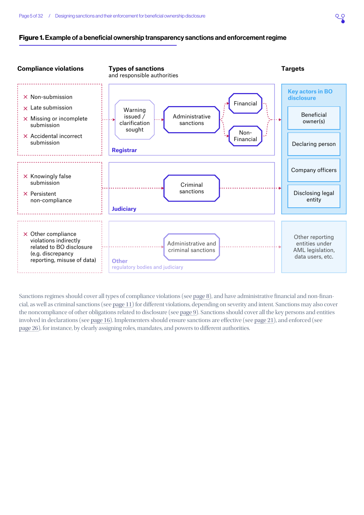#### Figure 1. Example of a beneficial ownership transparency sanctions and enforcement regime



Sanctions regimes should cover all types of compliance violations (see [page 8](#page-7-1)), and have administrative financial and non-financial, as well as criminal sanctions (see [page 11\)](#page-10-1) for different violations, depending on severity and intent. Sanctions may also cover the noncompliance of other obligations related to disclosure (see [page 9\)](#page-8-0). Sanctions should cover all the key persons and entities involved in declarations (see [page 16\)](#page-15-1). Implementers should ensure sanctions are effective (see [page 21\)](#page-20-1), and enforced (see [page 26\)](#page-25-1), for instance, by clearly assigning roles, mandates, and powers to different authorities.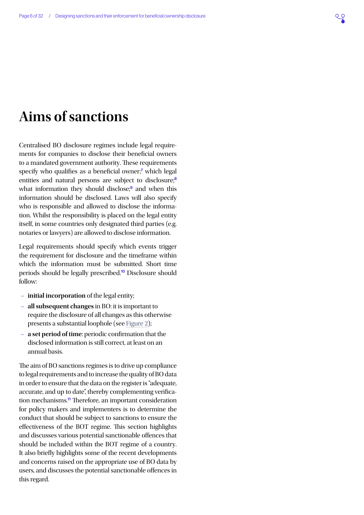## <span id="page-5-0"></span>**Aims of sanctions**

Centralised BO disclosure regimes include legal requirements for companies to disclose their beneficial owners to a mandated government authority. These requirements specify who qualifies as a beneficial owner;<sup>[7](#page-28-0)</sup> which legal entities and natural persons are subject to disclosure;<sup>[8](#page-28-0)</sup> what information they should disclose;<sup>[9](#page-28-0)</sup> and when this information should be disclosed. Laws will also specify who is responsible and allowed to disclose the information. Whilst the responsibility is placed on the legal entity itself, in some countries only designated third parties (e.g. notaries or lawyers) are allowed to disclose information.

Legal requirements should specify which events trigger the requirement for disclosure and the timeframe within which the information must be submitted. Short time periods should be legally prescribed.[10](#page-28-0) Disclosure should follow:

- **initial incorporation** of the legal entity;
- **all subsequent changes** in BO: it is important to require the disclosure of all changes as this otherwise presents a substantial loophole (see [Figure 2](#page-6-0));
- **a set period of time**: periodic confirmation that the disclosed information is still correct, at least on an annual basis.

The aim of BO sanctions regimes is to drive up compliance to legal requirements and to increase the quality of BO data in order to ensure that the data on the register is "adequate, accurate, and up to date", thereby complementing verifica-tion mechanisms.<sup>[11](#page-28-0)</sup> Therefore, an important consideration for policy makers and implementers is to determine the conduct that should be subject to sanctions to ensure the effectiveness of the BOT regime. This section highlights and discusses various potential sanctionable offences that should be included within the BOT regime of a country. It also briefly highlights some of the recent developments and concerns raised on the appropriate use of BO data by users, and discusses the potential sanctionable offences in this regard.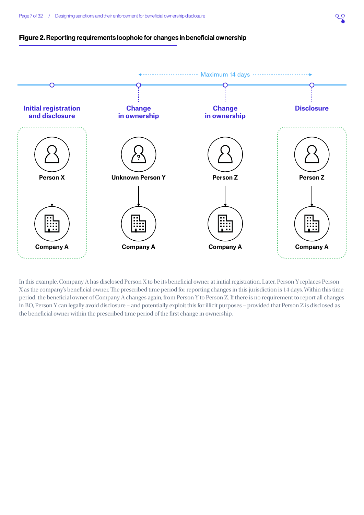<span id="page-6-0"></span>



In this example, Company A has disclosed Person X to be its beneficial owner at initial registration. Later, Person Y replaces Person X as the company's beneficial owner. The prescribed time period for reporting changes in this jurisdiction is 14 days. Within this time period, the beneficial owner of Company A changes again, from Person Y to Person Z. If there is no requirement to report all changes in BO, Person Y can legally avoid disclosure – and potentially exploit this for illicit purposes – provided that Person Z is disclosed as the beneficial owner within the prescribed time period of the first change in ownership.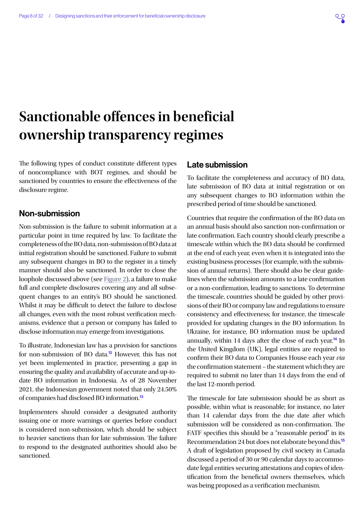

## <span id="page-7-1"></span><span id="page-7-0"></span>**Sanctionable offences in beneficial ownership transparency regimes**

The following types of conduct constitute different types of noncompliance with BOT regimes, and should be sanctioned by countries to ensure the effectiveness of the disclosure regime.

## Non-submission

Non-submission is the failure to submit information at a particular point in time required by law. To facilitate the completeness of the BO data, non-submission of BO data at initial registration should be sanctioned. Failure to submit any subsequent changes in BO to the register in a timely manner should also be sanctioned. In order to close the loophole discussed above (see [Figure 2](#page-6-0)), a failure to make full and complete disclosures covering any and all subsequent changes to an entity's BO should be sanctioned. Whilst it may be difficult to detect the failure to disclose all changes, even with the most robust verification mechanisms, evidence that a person or company has failed to disclose information may emerge from investigations.

To illustrate, Indonesian law has a provision for sanctions for non-submission of BO data.[12](#page-28-0) However, this has not yet been implemented in practice, presenting a gap in ensuring the quality and availability of accurate and up-todate BO information in Indonesia. As of 28 November 2021, the Indonesian government noted that only 24.50% of companies had disclosed BO information.<sup>[13](#page-28-0)</sup>

Implementers should consider a designated authority issuing one or more warnings or queries before conduct is considered non-submission, which should be subject to heavier sanctions than for late submission. The failure to respond to the designated authorities should also be sanctioned.

## Late submission

To facilitate the completeness and accuracy of BO data, late submission of BO data at initial registration or on any subsequent changes to BO information within the prescribed period of time should be sanctioned.

Countries that require the confirmation of the BO data on an annual basis should also sanction non-confirmation or late confirmation. Each country should clearly prescribe a timescale within which the BO data should be confirmed at the end of each year, even when it is integrated into the existing business processes (for example, with the submission of annual returns). There should also be clear guidelines when the submission amounts to a late confirmation or a non-confirmation, leading to sanctions. To determine the timescale, countries should be guided by other provisions of their BO or company law and regulations to ensure consistency and effectiveness; for instance, the timescale provided for updating changes in the BO information. In Ukraine, for instance, BO information must be updated annually, within [14](#page-28-0) days after the close of each year.<sup>14</sup> In the United Kingdom (UK), legal entities are required to confirm their BO data to Companies House each year *via* the confirmation statement – the statement which they are required to submit no later than 14 days from the end of the last 12-month period.

The timescale for late submission should be as short as possible, within what is reasonable; for instance, no later than 14 calendar days from the due date after which submission will be considered as non-confirmation. The FATF specifies this should be a "reasonable period" in its Recommendation 24 but does not elaborate beyond this.[15](#page-28-0) A draft of legislation proposed by civil society in Canada discussed a period of 30 or 90 calendar days to accommodate legal entities securing attestations and copies of identification from the beneficial owners themselves, which was being proposed as a verification mechanism.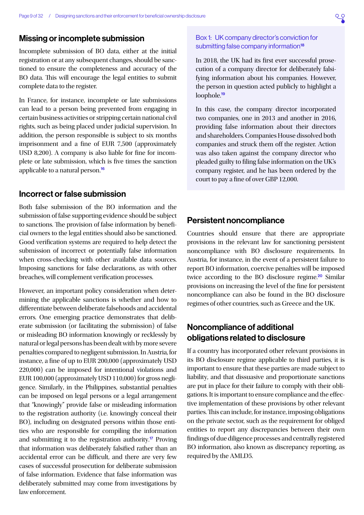### <span id="page-8-1"></span>Missing or incomplete submission

Incomplete submission of BO data, either at the initial registration or at any subsequent changes, should be sanctioned to ensure the completeness and accuracy of the BO data. This will encourage the legal entities to submit complete data to the register.

In France, for instance, incomplete or late submissions can lead to a person being prevented from engaging in certain business activities or stripping certain national civil rights, such as being placed under judicial supervision. In addition, the person responsible is subject to six months imprisonment and a fine of EUR 7,500 (approximately USD 8,200). A company is also liable for fine for incomplete or late submission, which is five times the sanction applicable to a natural person.[16](#page-28-0)

### Incorrect or false submission

Both false submission of the BO information and the submission of false supporting evidence should be subject to sanctions. The provision of false information by beneficial owners to the legal entities should also be sanctioned. Good verification systems are required to help detect the submission of incorrect or potentially false information when cross-checking with other available data sources. Imposing sanctions for false declarations, as with other breaches, will complement verification processes.

However, an important policy consideration when determining the applicable sanctions is whether and how to differentiate between deliberate falsehoods and accidental errors. One emerging practice demonstrates that deliberate submission (or facilitating the submission) of false or misleading BO information knowingly or recklessly by natural or legal persons has been dealt with by more severe penalties compared to negligent submission. In Austria, for instance, a fine of up to EUR 200,000 (approximately USD 220,000) can be imposed for intentional violations and EUR 100,000 (approximately USD 110,000) for gross negligence. Similarly, in the Philippines, substantial penalties can be imposed on legal persons or a legal arrangement that "knowingly" provide false or misleading information to the registration authority (i.e. knowingly conceal their BO), including on designated persons within those entities who are responsible for compiling the information and submitting it to the registration authority.[17](#page-28-0) Proving that information was deliberately falsified rather than an accidental error can be difficult, and there are very few cases of successful prosecution for deliberate submission of false information. Evidence that false information was deliberately submitted may come from investigations by law enforcement.

### Box 1: UK company director's conviction for submitting false company information<sup>[18](#page-28-0)</sup>

In 2018, the UK had its first ever successful prosecution of a company director for deliberately falsifying information about his companies. However, the person in question acted publicly to highlight a loophole.<sup>[19](#page-28-0)</sup>

In this case, the company director incorporated two companies, one in 2013 and another in 2016, providing false information about their directors and shareholders. Companies House dissolved both companies and struck them off the register. Action was also taken against the company director who pleaded guilty to filing false information on the UK's company register, and he has been ordered by the court to pay a fine of over GBP 12,000.

### Persistent noncompliance

Countries should ensure that there are appropriate provisions in the relevant law for sanctioning persistent noncompliance with BO disclosure requirements. In Austria, for instance, in the event of a persistent failure to report BO information, coercive penalties will be imposed twice according to the BO disclosure regime.<sup>[20](#page-28-0)</sup> Similar provisions on increasing the level of the fine for persistent noncompliance can also be found in the BO disclosure regimes of other countries, such as Greece and the UK.

## <span id="page-8-0"></span>Noncompliance of additional obligations related to disclosure

If a country has incorporated other relevant provisions in its BO disclosure regime applicable to third parties, it is important to ensure that these parties are made subject to liability, and that dissuasive and proportionate sanctions are put in place for their failure to comply with their obligations. It is important to ensure compliance and the effective implementation of these provisions by other relevant parties. This can include, for instance, imposing obligations on the private sector, such as the requirement for obliged entities to report any discrepancies between their own findings of due diligence processes and centrally registered BO information, also known as discrepancy reporting, as required by the AMLD5.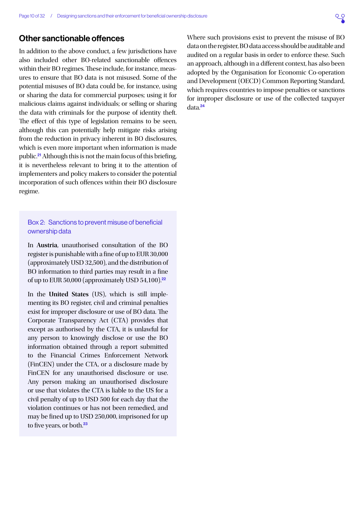## <span id="page-9-0"></span>Other sanctionable offences

In addition to the above conduct, a few jurisdictions have also included other BO-related sanctionable offences within their BO regimes. These include, for instance, measures to ensure that BO data is not misused. Some of the potential misuses of BO data could be, for instance, using or sharing the data for commercial purposes; using it for malicious claims against individuals; or selling or sharing the data with criminals for the purpose of identity theft. The effect of this type of legislation remains to be seen, although this can potentially help mitigate risks arising from the reduction in privacy inherent in BO disclosures, which is even more important when information is made public.[21](#page-28-0) Although this is not the main focus of this briefing, it is nevertheless relevant to bring it to the attention of implementers and policy makers to consider the potential incorporation of such offences within their BO disclosure regime.

#### Box 2: Sanctions to prevent misuse of beneficial ownership data

In **Austria**, unauthorised consultation of the BO register is punishable with a fine of up to EUR 30,000 (approximately USD 32,500), and the distribution of BO information to third parties may result in a fine of up to EUR 50,000 (approximately USD 54,100). $22$ 

In the **United States** (US), which is still implementing its BO register, civil and criminal penalties exist for improper disclosure or use of BO data. The Corporate Transparency Act (CTA) provides that except as authorised by the CTA, it is unlawful for any person to knowingly disclose or use the BO information obtained through a report submitted to the Financial Crimes Enforcement Network (FinCEN) under the CTA, or a disclosure made by FinCEN for any unauthorised disclosure or use. Any person making an unauthorised disclosure or use that violates the CTA is liable to the US for a civil penalty of up to USD 500 for each day that the violation continues or has not been remedied, and may be fined up to USD 250,000, imprisoned for up to five years, or both.<sup>[23](#page-28-0)</sup>

Where such provisions exist to prevent the misuse of BO data on the register, BO data access should be auditable and audited on a regular basis in order to enforce these. Such an approach, although in a different context, has also been adopted by the Organisation for Economic Co-operation and Development (OECD) Common Reporting Standard, which requires countries to impose penalties or sanctions for improper disclosure or use of the collected taxpayer data.[24](#page-28-0)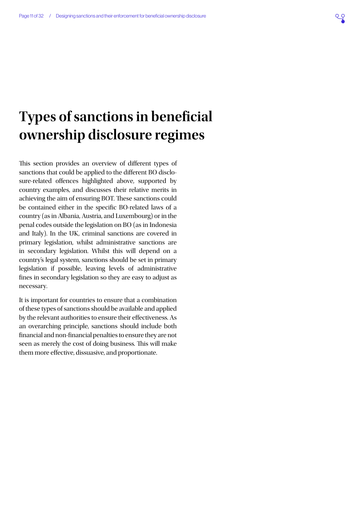## <span id="page-10-1"></span><span id="page-10-0"></span>**Types of sanctions in beneficial ownership disclosure regimes**

This section provides an overview of different types of sanctions that could be applied to the different BO disclosure-related offences highlighted above, supported by country examples, and discusses their relative merits in achieving the aim of ensuring BOT. These sanctions could be contained either in the specific BO-related laws of a country (as in Albania, Austria, and Luxembourg) or in the penal codes outside the legislation on BO (as in Indonesia and Italy). In the UK, criminal sanctions are covered in primary legislation, whilst administrative sanctions are in secondary legislation. Whilst this will depend on a country's legal system, sanctions should be set in primary legislation if possible, leaving levels of administrative fines in secondary legislation so they are easy to adjust as necessary.

It is important for countries to ensure that a combination of these types of sanctions should be available and applied by the relevant authorities to ensure their effectiveness. As an overarching principle, sanctions should include both financial and non-financial penalties to ensure they are not seen as merely the cost of doing business. This will make them more effective, dissuasive, and proportionate.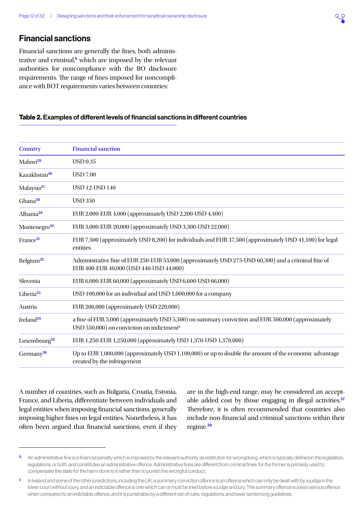## <span id="page-11-1"></span><span id="page-11-0"></span>Financial sanctions

Financial sanctions are generally the fines, both administrative and criminal,<sup>b</sup> which are imposed by the relevant authorities for noncompliance with the BO disclosure requirements. The range of fines imposed for noncompliance with BOT requirements varies between countries:

#### Table 2. Examples of different levels of financial sanctions in different countries

| <b>Country</b>           | <b>Financial sanction</b>                                                                                                                                                |  |
|--------------------------|--------------------------------------------------------------------------------------------------------------------------------------------------------------------------|--|
| Malawi <sup>25</sup>     | <b>USD 0.35</b>                                                                                                                                                          |  |
| Kazakhstan <sup>26</sup> | <b>USD 7.00</b>                                                                                                                                                          |  |
| Malaysia <sup>27</sup>   | <b>USD 12-USD 140</b>                                                                                                                                                    |  |
| Ghana <sup>28</sup>      | <b>USD 350</b>                                                                                                                                                           |  |
| Albania <sup>29</sup>    | EUR 2,000-EUR 4,000 (approximately USD 2,200-USD 4,400)                                                                                                                  |  |
| Montenegro <sup>30</sup> | EUR 3,000-EUR 20,000 (approximately USD 3,300-USD 22,000)                                                                                                                |  |
| France <sup>31</sup>     | EUR 7,500 (approximately USD 8,200) for individuals and EUR 37,500 (approximately USD 41,100) for legal<br>entities                                                      |  |
| Belgium <sup>32</sup>    | Administrative fine of EUR 250-EUR 55,000 (approximately USD 275-USD 60,300) and a criminal fine of<br>EUR 400-EUR 40,000 (USD 440-USD 44,000)                           |  |
| Slovenia                 | EUR 6,000-EUR 60,000 (approximately USD 6,600-USD 66,000)                                                                                                                |  |
| Liberia <sup>33</sup>    | USD 100,000 for an individual and USD 1,000,000 for a company                                                                                                            |  |
| Austria                  | EUR 200,000 (approximately USD 220,000)                                                                                                                                  |  |
| Ireland <sup>34</sup>    | a fine of EUR 5,000 (approximately USD 5,500) on summary conviction and EUR 500,000 (approximately<br>USD 550,000) on conviction on indictment <sup><math>c</math></sup> |  |
| Luxembourg <sup>35</sup> | EUR 1,250-EUR 1,250,000 (approximately USD 1,370-USD 1,370,000)                                                                                                          |  |
| Germany <sup>36</sup>    | Up to EUR 1,000,000 (approximately USD 1,100,000) or up to double the amount of the economic advantage<br>created by the infringement                                    |  |

A number of countries, such as Bulgaria, Croatia, Estonia, France, and Liberia, differentiate between individuals and legal entities when imposing financial sanctions, generally imposing higher fines on legal entities. Nonetheless, it has often been argued that financial sanctions, even if they are in the high-end range, may be considered an accept-able added cost by those engaging in illegal activities.<sup>[37](#page-28-0)</sup> Therefore, it is often recommended that countries also include non-financial and criminal sanctions within their regime.[38](#page-29-0)

**b** An administrative fine is a financial penalty which is imposed by the relevant authority as restitution for wrongdoing, which is typically defined in the legislation, regulations, or both, and constitutes an administrative offence. Administrative fines are different from criminal fines, for the former is primarily used to compensate the state for the harm done to it rather than to punish the wrongful conduct.

c In Ireland and some of the other jurisdictions, including the UK, a summary conviction offence is an offence which can only be dealt with by a judge in the lower court without a jury, and an indictable offence is one which can or must be tried before a judge and jury. The summary offence is a less serious offence when compared to an indictable offence, and it is punishable by a different set of rules, regulations, and lower sentencing guidelines.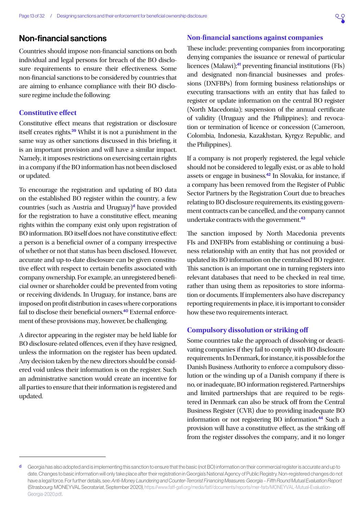## <span id="page-12-1"></span><span id="page-12-0"></span>Non-financial sanctions

Countries should impose non-financial sanctions on both individual and legal persons for breach of the BO disclosure requirements to ensure their effectiveness. Some non-financial sanctions to be considered by countries that are aiming to enhance compliance with their BO disclosure regime include the following:

### **Constitutive effect**

Constitutive effect means that registration or disclosure itself creates rights.[39](#page-29-0) Whilst it is not a punishment in the same way as other sanctions discussed in this briefing, it is an important provision and will have a similar impact. Namely, it imposes restrictions on exercising certain rights in a company if the BO information has not been disclosed or updated.

To encourage the registration and updating of BO data on the established BO register within the country, a few countries (such as Austria and Uruguay)<sup>d</sup> have provided for the registration to have a constitutive effect, meaning rights within the company exist only upon registration of BO information. BO itself does not have constitutive effect: a person is a beneficial owner of a company irrespective of whether or not that status has been disclosed. However, accurate and up-to-date disclosure can be given constitutive effect with respect to certain benefits associated with company ownership. For example, an unregistered beneficial owner or shareholder could be prevented from voting or receiving dividends. In Uruguay, for instance, bans are imposed on profit distribution in cases where corporations fail to disclose their beneficial owners.<sup>[40](#page-29-0)</sup> External enforcement of these provisions may, however, be challenging.

A director appearing in the register may be held liable for BO disclosure-related offences, even if they have resigned, unless the information on the register has been updated. Any decision taken by the new directors should be considered void unless their information is on the register. Such an administrative sanction would create an incentive for all parties to ensure that their information is registered and updated.

### **Non-financial sanctions against companies**

These include: preventing companies from incorporating; denying companies the issuance or renewal of particular licences (Malawi);<sup>[41](#page-29-0)</sup> preventing financial institutions (FIs) and designated non-financial businesses and professions (DNFBPs) from forming business relationships or executing transactions with an entity that has failed to register or update information on the central BO register (North Macedonia); suspension of the annual certificate of validity (Uruguay and the Philippines); and revocation or termination of licence or concession (Cameroon, Colombia, Indonesia, Kazakhstan, Kyrgyz Republic, and the Philippines).

If a company is not properly registered, the legal vehicle should not be considered to legally exist, or as able to hold assets or engage in business.[42](#page-29-0) In Slovakia, for instance, if a company has been removed from the Register of Public Sector Partners by the Registration Court due to breaches relating to BO disclosure requirements, its existing government contracts can be cancelled, and the company cannot undertake contracts with the government.[43](#page-29-0)

The sanction imposed by North Macedonia prevents FIs and DNFBPs from establishing or continuing a business relationship with an entity that has not provided or updated its BO information on the centralised BO register. This sanction is an important one in turning registers into relevant databases that need to be checked in real time, rather than using them as repositories to store information or documents. If implementers also have discrepancy reporting requirements in place, it is important to consider how these two requirements interact.

#### **Compulsory dissolution or striking off**

Some countries take the approach of dissolving or deactivating companies if they fail to comply with BO disclosure requirements. In Denmark, for instance, it is possible for the Danish Business Authority to enforce a compulsory dissolution or the winding up of a Danish company if there is no, or inadequate, BO information registered. Partnerships and limited partnerships that are required to be registered in Denmark can also be struck off from the Central Business Register (CVR) due to providing inadequate BO information or not registering BO information.[44](#page-29-0) Such a provision will have a constitutive effect, as the striking off from the register dissolves the company, and it no longer

d Georgia has also adopted and is implementing this sanction to ensure that the basic (not BO) information on their commercial register is accurate and up to date. Changes to basic information will only take place after their registration in Georgia's National Agency of Public Registry. Non-registered changes do not have a legal force. For further details, see: *Anti-Money Laundering and Counter-Terrorist Financing Measures: Georgia – Fifth Round Mutual Evaluation Report* (Strasbourg: MONEYVAL Secratariat, September 2020), [https://www.fatf-gafi.org/media/fatf/documents/reports/mer-fsrb/MONEYVAL-Mutual-Evaluation-](https://www.fatf-gafi.org/media/fatf/documents/reports/mer-fsrb/MONEYVAL-Mutual-Evaluation-Georgia-2020.pdf)[Georgia-2020.pdf](https://www.fatf-gafi.org/media/fatf/documents/reports/mer-fsrb/MONEYVAL-Mutual-Evaluation-Georgia-2020.pdf).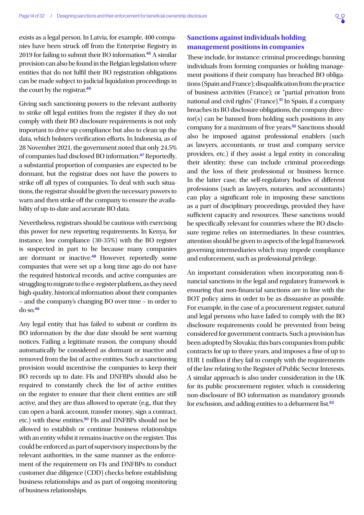<span id="page-13-0"></span>exists as a legal person. In Latvia, for example, 400 companies have been struck off from the Enterprise Registry in 2019 for failing to submit their BO information.[45](#page-29-0) A similar provision can also be found in the Belgian legislation where entities that do not fulfil their BO registration obligations can be made subject to judicial liquidation proceedings in the court by the registrar.<sup>[46](#page-29-0)</sup>

Giving such sanctioning powers to the relevant authority to strike off legal entities from the register if they do not comply with their BO disclosure requirements is not only important to drive up compliance but also to clean up the data, which bolsters verification efforts. In Indonesia, as of 28 November 2021, the government noted that only 24.5% of companies had disclosed BO information.[47](#page-29-0) Reportedly, a substantial proportion of companies are expected to be dormant, but the registrar does not have the powers to strike off all types of companies. To deal with such situations, the registrar should be given the necessary powers to warn and then strike off the company to ensure the availability of up-to-date and accurate BO data.

Nevertheless, registrars should be cautious with exercising this power for new reporting requirements. In Kenya, for instance, low compliance (30-35%) with the BO register is suspected in part to be because many companies are dormant or inactive.[48](#page-29-0) However, reportedly some companies that were set up a long time ago do not have the required historical records, and active companies are struggling to migrate to the e-register platform, as they need high-quality, historical information about their companies – and the company's changing BO over time – in order to  $\frac{d}{d}$  so.<sup>[49](#page-29-0)</sup>

Any legal entity that has failed to submit or confirm its BO information by the due date should be sent warning notices. Failing a legitimate reason, the company should automatically be considered as dormant or inactive and removed from the list of active entities. Such a sanctioning provision would incentivise the companies to keep their BO records up to date. FIs and DNFBPs should also be required to constantly check the list of active entities on the register to ensure that their client entities are still active, and they are thus allowed to operate (e.g., that they can open a bank account, transfer money, sign a contract, etc.) with these entities.<sup>[50](#page-29-0)</sup> FIs and DNFBPs should not be allowed to establish or continue business relationships with an entity whilst it remains inactive on the register. This could be enforced as part of supervisory inspections by the relevant authorities, in the same manner as the enforcement of the requirement on FIs and DNFBPs to conduct customer due diligence (CDD) checks before establishing business relationships and as part of ongoing monitoring of business relationships.

### **Sanctions against individuals holding management positions in companies**

These include, for instance: criminal proceedings; banning individuals from forming companies or holding management positions if their company has breached BO obligations (Spain and France); disqualification from the practice of business activities (France); or "partial privation from national and civil rights" (France).<sup>[51](#page-29-0)</sup> In Spain, if a company breaches its BO disclosure obligations, the company director(s) can be banned from holding such positions in any company for a maximum of five years.<sup>[52](#page-29-0)</sup> Sanctions should also be imposed against professional enablers (such as lawyers, accountants, or trust and company service providers, etc.) if they assist a legal entity in concealing their identity; these can include criminal proceedings and the loss of their professional or business licence. In the latter case, the self-regulatory bodies of different professions (such as lawyers, notaries, and accountants) can play a significant role in imposing these sanctions as a part of disciplinary proceedings, provided they have sufficient capacity and resources. These sanctions would be specifically relevant for countries where the BO disclosure regime relies on intermediaries. In these countries, attention should be given to aspects of the legal framework governing intermediaries which may impede compliance and enforcement, such as professional privilege.

An important consideration when incorporating non-financial sanctions in the legal and regulatory framework is ensuring that non-financial sanctions are in line with the BOT policy aims in order to be as dissuasive as possible. For example, in the case of a procurement register, natural and legal persons who have failed to comply with the BO disclosure requirements could be prevented from being considered for government contracts. Such a provision has been adopted by Slovakia; this bars companies from public contracts for up to three years, and imposes a fine of up to EUR 1 million if they fail to comply with the requirements of the law relating to the Register of Public Sector Interests. A similar approach is also under consideration in the UK for its public procurement register, which is considering non-disclosure of BO information as mandatory grounds for exclusion, and adding entities to a debarment list.<sup>[53](#page-29-0)</sup>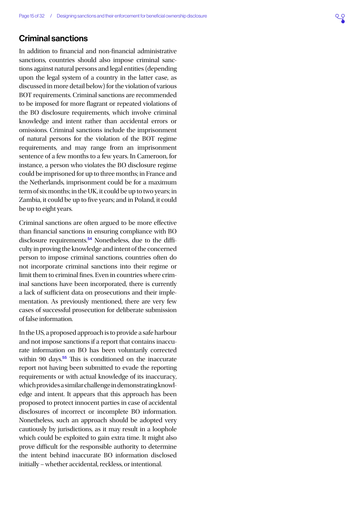## <span id="page-14-1"></span><span id="page-14-0"></span>Criminal sanctions

In addition to financial and non-financial administrative sanctions, countries should also impose criminal sanctions against natural persons and legal entities (depending upon the legal system of a country in the latter case, as discussed in more detail below) for the violation of various BOT requirements. Criminal sanctions are recommended to be imposed for more flagrant or repeated violations of the BO disclosure requirements, which involve criminal knowledge and intent rather than accidental errors or omissions. Criminal sanctions include the imprisonment of natural persons for the violation of the BOT regime requirements, and may range from an imprisonment sentence of a few months to a few years. In Cameroon, for instance, a person who violates the BO disclosure regime could be imprisoned for up to three months; in France and the Netherlands, imprisonment could be for a maximum term of six months; in the UK, it could be up to two years; in Zambia, it could be up to five years; and in Poland, it could be up to eight years.

Criminal sanctions are often argued to be more effective than financial sanctions in ensuring compliance with BO disclosure requirements.[54](#page-29-0) Nonetheless, due to the difficulty in proving the knowledge and intent of the concerned person to impose criminal sanctions, countries often do not incorporate criminal sanctions into their regime or limit them to criminal fines. Even in countries where criminal sanctions have been incorporated, there is currently a lack of sufficient data on prosecutions and their implementation. As previously mentioned, there are very few cases of successful prosecution for deliberate submission of false information.

In the US, a proposed approach is to provide a safe harbour and not impose sanctions if a report that contains inaccurate information on BO has been voluntarily corrected within 90 days.<sup>[55](#page-29-0)</sup> This is conditioned on the inaccurate report not having been submitted to evade the reporting requirements or with actual knowledge of its inaccuracy, which provides a similar challenge in demonstrating knowledge and intent. It appears that this approach has been proposed to protect innocent parties in case of accidental disclosures of incorrect or incomplete BO information. Nonetheless, such an approach should be adopted very cautiously by jurisdictions, as it may result in a loophole which could be exploited to gain extra time. It might also prove difficult for the responsible authority to determine the intent behind inaccurate BO information disclosed initially – whether accidental, reckless, or intentional.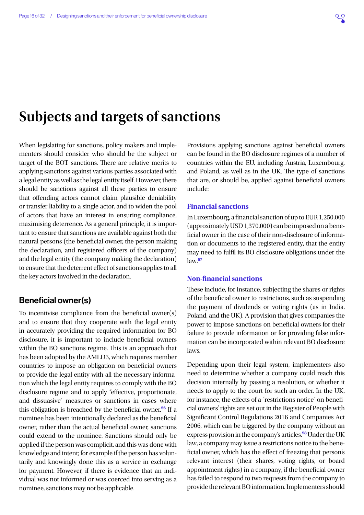## <span id="page-15-1"></span><span id="page-15-0"></span>**Subjects and targets of sanctions**

When legislating for sanctions, policy makers and implementers should consider who should be the subject or target of the BOT sanctions. There are relative merits to applying sanctions against various parties associated with a legal entity as well as the legal entity itself. However, there should be sanctions against all these parties to ensure that offending actors cannot claim plausible deniability or transfer liability to a single actor, and to widen the pool of actors that have an interest in ensuring compliance, maximising deterrence. As a general principle, it is important to ensure that sanctions are available against both the natural persons (the beneficial owner, the person making the declaration, and registered officers of the company) and the legal entity (the company making the declaration) to ensure that the deterrent effect of sanctions applies to all the key actors involved in the declaration.

## Beneficial owner(s)

To incentivise compliance from the beneficial owner(s) and to ensure that they cooperate with the legal entity in accurately providing the required information for BO disclosure, it is important to include beneficial owners within the BO sanctions regime. This is an approach that has been adopted by the AMLD5, which requires member countries to impose an obligation on beneficial owners to provide the legal entity with all the necessary information which the legal entity requires to comply with the BO disclosure regime and to apply "effective, proportionate, and dissuasive" measures or sanctions in cases where this obligation is breached by the beneficial owner.<sup>[56](#page-29-0)</sup> If a nominee has been intentionally declared as the beneficial owner, rather than the actual beneficial owner, sanctions could extend to the nominee. Sanctions should only be applied if the person was complicit, and this was done with knowledge and intent; for example if the person has voluntarily and knowingly done this as a service in exchange for payment. However, if there is evidence that an individual was not informed or was coerced into serving as a nominee, sanctions may not be applicable.

Provisions applying sanctions against beneficial owners can be found in the BO disclosure regimes of a number of countries within the EU, including Austria, Luxembourg, and Poland, as well as in the UK. The type of sanctions that are, or should be, applied against beneficial owners include:

#### **Financial sanctions**

In Luxembourg, a financial sanction of up to EUR 1,250,000 (approximately USD 1,370,000) can be imposed on a beneficial owner in the case of their non-disclosure of information or documents to the registered entity, that the entity may need to fulfil its BO disclosure obligations under the  $law<sup>57</sup>$  $law<sup>57</sup>$  $law<sup>57</sup>$ 

#### **Non-financial sanctions**

These include, for instance, subjecting the shares or rights of the beneficial owner to restrictions, such as suspending the payment of dividends or voting rights (as in India, Poland, and the UK). A provision that gives companies the power to impose sanctions on beneficial owners for their failure to provide information or for providing false information can be incorporated within relevant BO disclosure laws.

Depending upon their legal system, implementers also need to determine whether a company could reach this decision internally by passing a resolution, or whether it needs to apply to the court for such an order. In the UK, for instance, the effects of a "restrictions notice" on beneficial owners' rights are set out in the Register of People with Significant Control Regulations 2016 and Companies Act 2006, which can be triggered by the company without an express provision in the company's articles.<sup>[58](#page-29-0)</sup> Under the UK law, a company may issue a restrictions notice to the beneficial owner, which has the effect of freezing that person's relevant interest (their shares, voting rights, or board appointment rights) in a company, if the beneficial owner has failed to respond to two requests from the company to provide the relevant BO information. Implementers should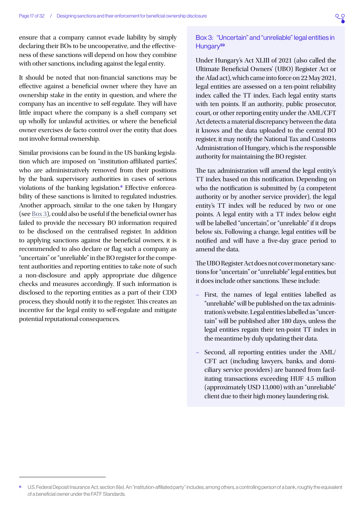<span id="page-16-1"></span>ensure that a company cannot evade liability by simply declaring their BOs to be uncooperative, and the effectiveness of these sanctions will depend on how they combine with other sanctions, including against the legal entity.

It should be noted that non-financial sanctions may be effective against a beneficial owner where they have an ownership stake in the entity in question, and where the company has an incentive to self-regulate. They will have little impact where the company is a shell company set up wholly for unlawful activities, or where the beneficial owner exercises de facto control over the entity that does not involve formal ownership.

Similar provisions can be found in the US banking legislation which are imposed on "institution-affiliated parties", who are administratively removed from their positions by the bank supervisory authorities in cases of serious violations of the banking legislation.<sup>•</sup> Effective enforceability of these sanctions is limited to regulated industries. Another approach, similar to the one taken by Hungary (see [Box 3\)](#page-16-0), could also be useful if the beneficial owner has failed to provide the necessary BO information required to be disclosed on the centralised register. In addition to applying sanctions against the beneficial owners, it is recommended to also declare or flag such a company as "uncertain" or "unreliable" in the BO register for the competent authorities and reporting entities to take note of such a non-disclosure and apply appropriate due diligence checks and measures accordingly. If such information is disclosed to the reporting entities as a part of their CDD process, they should notify it to the register. This creates an incentive for the legal entity to self-regulate and mitigate potential reputational consequences.

#### <span id="page-16-0"></span>Box 3: "Uncertain" and "unreliable" legal entities in Hungary<sup>[59](#page-29-0)</sup>

Under Hungary's Act XLIII of 2021 (also called the Ultimate Beneficial Owners' (UBO) Register Act or the Afad act), which came into force on 22 May 2021, legal entities are assessed on a ten-point reliability index called the TT index. Each legal entity starts with ten points. If an authority, public prosecutor, court, or other reporting entity under the AML/CFT Act detects a material discrepancy between the data it knows and the data uploaded to the central BO register, it may notify the National Tax and Customs Administration of Hungary, which is the responsible authority for maintaining the BO register.

The tax administration will amend the legal entity's TT index based on this notification. Depending on who the notification is submitted by (a competent authority or by another service provider), the legal entity's TT index will be reduced by two or one points. A legal entity with a TT index below eight will be labelled "uncertain", or "unreliable" if it drops below six. Following a change, legal entities will be notified and will have a five-day grace period to amend the data.

The UBO Register Act does not cover monetary sanctions for "uncertain" or "unreliable" legal entities, but it does include other sanctions. These include:

- First, the names of legal entities labelled as "unreliable" will be published on the tax administration's website. Legal entities labelled as "uncertain" will be published after 180 days, unless the legal entities regain their ten-point TT index in the meantime by duly updating their data.
- Second, all reporting entities under the AML/ CFT act (including lawyers, banks, and domiciliary service providers) are banned from facilitating transactions exceeding HUF 4.5 million (approximately USD 13,000) with an "unreliable" client due to their high money laundering risk.

U.S. Federal Deposit Insurance Act, section 8(e). An "institution-affiliated party" includes, among others, a controlling person of a bank, roughly the equivalent of a beneficial owner under the FATF Standards.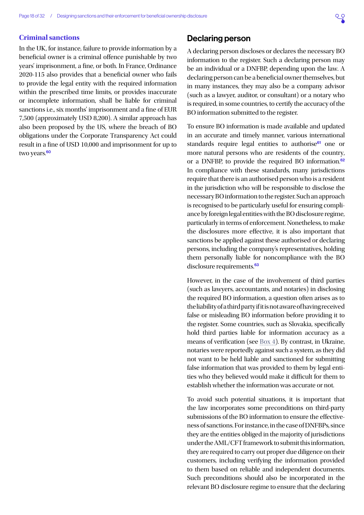#### <span id="page-17-0"></span>**Criminal sanctions**

In the UK, for instance, failure to provide information by a beneficial owner is a criminal offence punishable by two years' imprisonment, a fine, or both. In France, Ordinance 2020-115 also provides that a beneficial owner who fails to provide the legal entity with the required information within the prescribed time limits, or provides inaccurate or incomplete information, shall be liable for criminal sanctions i.e., six months' imprisonment and a fine of EUR 7,500 (approximately USD 8,200). A similar approach has also been proposed by the US, where the breach of BO obligations under the Corporate Transparency Act could result in a fine of USD 10,000 and imprisonment for up to two years.<sup>[60](#page-29-0)</sup>

## Declaring person

A declaring person discloses or declares the necessary BO information to the register. Such a declaring person may be an individual or a DNFBP, depending upon the law. A declaring person can be a beneficial owner themselves, but in many instances, they may also be a company advisor (such as a lawyer, auditor, or consultant) or a notary who is required, in some countries, to certify the accuracy of the BO information submitted to the register.

To ensure BO information is made available and updated in an accurate and timely manner, various international standards require legal entities to authorise<sup>[61](#page-29-0)</sup> one or more natural persons who are residents of the country, or a DNFBP, to provide the required BO information.<sup>[62](#page-29-0)</sup> In compliance with these standards, many jurisdictions require that there is an authorised person who is a resident in the jurisdiction who will be responsible to disclose the necessary BO information to the register. Such an approach is recognised to be particularly useful for ensuring compliance by foreign legal entities with the BO disclosure regime, particularly in terms of enforcement. Nonetheless, to make the disclosures more effective, it is also important that sanctions be applied against these authorised or declaring persons, including the company's representatives, holding them personally liable for noncompliance with the BO disclosure requirements.<sup>[63](#page-29-0)</sup>

However, in the case of the involvement of third parties (such as lawyers, accountants, and notaries) in disclosing the required BO information, a question often arises as to the liability of a third party if it is not aware of having received false or misleading BO information before providing it to the register. Some countries, such as Slovakia, specifically hold third parties liable for information accuracy as a means of verification (see [Box 4\)](#page-18-0). By contrast, in Ukraine, notaries were reportedly against such a system, as they did not want to be held liable and sanctioned for submitting false information that was provided to them by legal entities who they believed would make it difficult for them to establish whether the information was accurate or not.

To avoid such potential situations, it is important that the law incorporates some preconditions on third-party submissions of the BO information to ensure the effectiveness of sanctions. For instance, in the case of DNFBPs, since they are the entities obliged in the majority of jurisdictions under the AML/CFT framework to submit this information, they are required to carry out proper due diligence on their customers, including verifying the information provided to them based on reliable and independent documents. Such preconditions should also be incorporated in the relevant BO disclosure regime to ensure that the declaring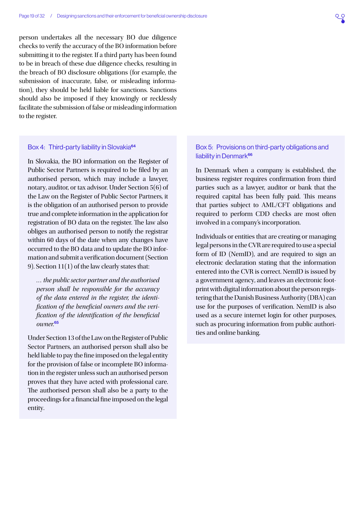<span id="page-18-1"></span>person undertakes all the necessary BO due diligence checks to verify the accuracy of the BO information before submitting it to the register. If a third party has been found to be in breach of these due diligence checks, resulting in the breach of BO disclosure obligations (for example, the submission of inaccurate, false, or misleading information), they should be held liable for sanctions. Sanctions should also be imposed if they knowingly or recklessly facilitate the submission of false or misleading information to the register.

#### <span id="page-18-0"></span>Box 4: Third-party liability in Slovakia<sup>[64](#page-29-0)</sup>

In Slovakia, the BO information on the Register of Public Sector Partners is required to be filed by an authorised person, which may include a lawyer, notary, auditor, or tax advisor. Under Section 5(6) of the Law on the Register of Public Sector Partners, it is the obligation of an authorised person to provide true and complete information in the application for registration of BO data on the register. The law also obliges an authorised person to notify the registrar within 60 days of the date when any changes have occurred to the BO data and to update the BO information and submit a verification document (Section 9). Section 11(1) of the law clearly states that:

*… the public sector partner and the authorised person shall be responsible for the accuracy of the data entered in the register, the identification of the beneficial owners and the verification of the identification of the beneficial owner.*[65](#page-29-0)

Under Section 13 of the Law on the Register of Public Sector Partners, an authorised person shall also be held liable to pay the fine imposed on the legal entity for the provision of false or incomplete BO information in the register unless such an authorised person proves that they have acted with professional care. The authorised person shall also be a party to the proceedings for a financial fine imposed on the legal entity.

#### Box 5: Provisions on third-party obligations and liability in Denmark<sup>[66](#page-29-0)</sup>

In Denmark when a company is established, the business register requires confirmation from third parties such as a lawyer, auditor or bank that the required capital has been fully paid. This means that parties subject to AML/CFT obligations and required to perform CDD checks are most often involved in a company's incorporation.

Individuals or entities that are creating or managing legal persons in the CVR are required to use a special form of ID (NemID), and are required to sign an electronic declaration stating that the information entered into the CVR is correct. NemID is issued by a government agency, and leaves an electronic footprint with digital information about the person registering that the Danish Business Authority (DBA) can use for the purposes of verification. NemID is also used as a secure internet login for other purposes, such as procuring information from public authorities and online banking.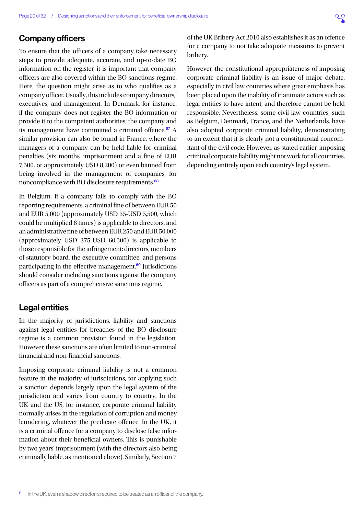### <span id="page-19-0"></span>Company officers

To ensure that the officers of a company take necessary steps to provide adequate, accurate, and up-to-date BO information on the register, it is important that company officers are also covered within the BO sanctions regime. Here, the question might arise as to who qualifies as a company officer. Usually, this includes company directors,<sup>f</sup> executives, and management. In Denmark, for instance, if the company does not register the BO information or provide it to the competent authorities, the company and its management have committed a criminal offence.<sup>[67](#page-29-0)</sup> A similar provision can also be found in France, where the managers of a company can be held liable for criminal penalties (six months' imprisonment and a fine of EUR 7,500, or approximately USD 8,200) or even banned from being involved in the management of companies, for noncompliance with BO disclosure requirements.<sup>[68](#page-29-0)</sup>

In Belgium, if a company fails to comply with the BO reporting requirements, a criminal fine of between EUR 50 and EUR 5,000 (approximately USD 55-USD 5,500, which could be multiplied 8 times) is applicable to directors, and an administrative fine of between EUR 250 and EUR 50,000 (approximately USD 275-USD 60,300) is applicable to those responsible for the infringement: directors, members of statutory board, the executive committee, and persons participating in the effective management.<sup>[69](#page-29-0)</sup> Jurisdictions should consider including sanctions against the company officers as part of a comprehensive sanctions regime.

## Legal entities

In the majority of jurisdictions, liability and sanctions against legal entities for breaches of the BO disclosure regime is a common provision found in the legislation. However, these sanctions are often limited to non-criminal financial and non-financial sanctions.

Imposing corporate criminal liability is not a common feature in the majority of jurisdictions, for applying such a sanction depends largely upon the legal system of the jurisdiction and varies from country to country. In the UK and the US, for instance, corporate criminal liability normally arises in the regulation of corruption and money laundering, whatever the predicate offence. In the UK, it is a criminal offence for a company to disclose false information about their beneficial owners. This is punishable by two years' imprisonment (with the directors also being criminally liable, as mentioned above). Similarly, Section 7 of the UK Bribery Act 2010 also establishes it as an offence for a company to not take adequate measures to prevent bribery.

However, the constitutional appropriateness of imposing corporate criminal liability is an issue of major debate, especially in civil law countries where great emphasis has been placed upon the inability of inanimate actors such as legal entities to have intent, and therefore cannot be held responsible. Nevertheless, some civil law countries, such as Belgium, Denmark, France, and the Netherlands, have also adopted corporate criminal liability, demonstrating to an extent that it is clearly not a constitutional concomitant of the civil code. However, as stated earlier, imposing criminal corporate liability might not work for all countries, depending entirely upon each country's legal system.

In the UK, even a shadow director is required to be treated as an officer of the company.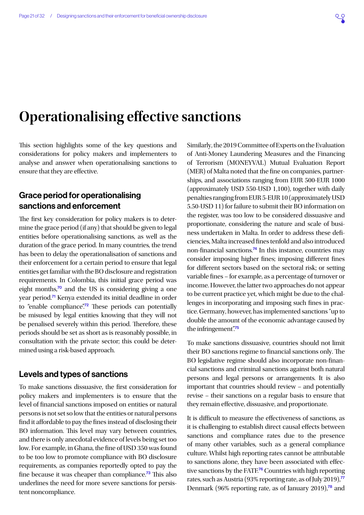## <span id="page-20-1"></span><span id="page-20-0"></span>**Operationalising effective sanctions**

This section highlights some of the key questions and considerations for policy makers and implementers to analyse and answer when operationalising sanctions to ensure that they are effective.

## Grace period for operationalising sanctions and enforcement

The first key consideration for policy makers is to determine the grace period (if any) that should be given to legal entities before operationalising sanctions, as well as the duration of the grace period. In many countries, the trend has been to delay the operationalisation of sanctions and their enforcement for a certain period to ensure that legal entities get familiar with the BO disclosure and registration requirements. In Colombia, this initial grace period was eight months, $70$  and the US is considering giving a one year period.[71](#page-29-0) Kenya extended its initial deadline in order to "enable compliance".<sup>[72](#page-29-0)</sup> These periods can potentially be misused by legal entities knowing that they will not be penalised severely within this period. Therefore, these periods should be set as short as is reasonably possible, in consultation with the private sector; this could be determined using a risk-based approach.

## Levels and types of sanctions

To make sanctions dissuasive, the first consideration for policy makers and implementers is to ensure that the level of financial sanctions imposed on entities or natural persons is not set so low that the entities or natural persons find it affordable to pay the fines instead of disclosing their BO information. This level may vary between countries, and there is only anecdotal evidence of levels being set too low. For example, in Ghana, the fine of USD 350 was found to be too low to promote compliance with BO disclosure requirements, as companies reportedly opted to pay the fine because it was cheaper than compliance.[73](#page-29-0) This also underlines the need for more severe sanctions for persistent noncompliance.

Similarly, the 2019 Committee of Experts on the Evaluation of Anti-Money Laundering Measures and the Financing of Terrorism (MONEYVAL) Mutual Evaluation Report (MER) of Malta noted that the fine on companies, partnerships, and associations ranging from EUR 500-EUR 1000 (approximately USD 550-USD 1,100), together with daily penalties ranging from EUR 5-EUR 10 (approximately USD 5.50-USD 11) for failure to submit their BO information on the register, was too low to be considered dissuasive and proportionate, considering the nature and scale of business undertaken in Malta. In order to address these deficiencies, Malta increased fines tenfold and also introduced non-financial sanctions.[74](#page-30-0) In this instance, countries may consider imposing higher fines; imposing different fines for different sectors based on the sectoral risk; or setting variable fines – for example, as a percentage of turnover or income. However, the latter two approaches do not appear to be current practice yet, which might be due to the challenges in incorporating and imposing such fines in practice. Germany, however, has implemented sanctions "up to double the amount of the economic advantage caused by the infringement"<sup>[75](#page-30-0)</sup>

To make sanctions dissuasive, countries should not limit their BO sanctions regime to financial sanctions only. The BO legislative regime should also incorporate non-financial sanctions and criminal sanctions against both natural persons and legal persons or arrangements. It is also important that countries should review – and potentially revise – their sanctions on a regular basis to ensure that they remain effective, dissuasive, and proportionate.

It is difficult to measure the effectiveness of sanctions, as it is challenging to establish direct causal effects between sanctions and compliance rates due to the presence of many other variables, such as a general compliance culture. Whilst high reporting rates cannot be attributable to sanctions alone, they have been associated with effec-tive sanctions by the FATF.<sup>[76](#page-30-0)</sup> Countries with high reporting rates, such as Austria (93% reporting rate, as of July 2019),[77](#page-30-0) Denmark (96% reporting rate, as of January 2019),<sup>[78](#page-30-0)</sup> and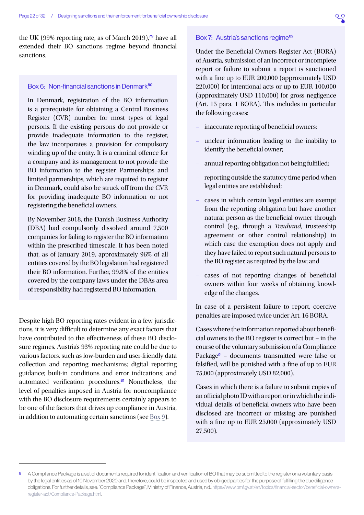<span id="page-21-0"></span>the UK (99% reporting rate, as of March 2019), $\frac{79}{7}$  $\frac{79}{7}$  $\frac{79}{7}$  have all extended their BO sanctions regime beyond financial sanctions.

#### Box 6: Non-financial sanctions in Denmark[80](#page-30-0)

In Denmark, registration of the BO information is a prerequisite for obtaining a Central Business Register (CVR) number for most types of legal persons. If the existing persons do not provide or provide inadequate information to the register, the law incorporates a provision for compulsory winding up of the entity. It is a criminal offence for a company and its management to not provide the BO information to the register. Partnerships and limited partnerships, which are required to register in Denmark, could also be struck off from the CVR for providing inadequate BO information or not registering the beneficial owners.

By November 2018, the Danish Business Authority (DBA) had compulsorily dissolved around 7,500 companies for failing to register the BO information within the prescribed timescale. It has been noted that, as of January 2019, approximately 96% of all entities covered by the BO legislation had registered their BO information. Further, 99.8% of the entities covered by the company laws under the DBA's area of responsibility had registered BO information.

Despite high BO reporting rates evident in a few jurisdictions, it is very difficult to determine any exact factors that have contributed to the effectiveness of these BO disclosure regimes. Austria's 93% reporting rate could be due to various factors, such as low-burden and user-friendly data collection and reporting mechanisms; digital reporting guidance; built-in conditions and error indications; and automated verification procedures. $81$  Nonetheless, the level of penalties imposed in Austria for noncompliance with the BO disclosure requirements certainly appears to be one of the factors that drives up compliance in Austria, in addition to automating certain sanctions (see [Box 9\)](#page-25-2).

#### Box 7: Austria's sanctions regime<sup>[82](#page-30-0)</sup>

Under the Beneficial Owners Register Act (BORA) of Austria, submission of an incorrect or incomplete report or failure to submit a report is sanctioned with a fine up to EUR 200,000 (approximately USD 220,000) for intentional acts or up to EUR 100,000 (approximately USD 110,000) for gross negligence (Art. 15 para. 1 BORA). This includes in particular the following cases:

- inaccurate reporting of beneficial owners;
- unclear information leading to the inability to identify the beneficial owner;
- annual reporting obligation not being fulfilled;
- reporting outside the statutory time period when legal entities are established;
- cases in which certain legal entities are exempt from the reporting obligation but have another natural person as the beneficial owner through control (e.g., through a *Treuhand*, trusteeship agreement or other control relationship) in which case the exemption does not apply and they have failed to report such natural persons to the BO register, as required by the law; and
- cases of not reporting changes of beneficial owners within four weeks of obtaining knowledge of the changes.

In case of a persistent failure to report, coercive penalties are imposed twice under Art. 16 BORA.

Cases where the information reported about beneficial owners to the BO register is correct but – in the course of the voluntary submission of a Compliance Package<sup>9</sup> - documents transmitted were false or falsified, will be punished with a fine of up to EUR 75,000 (approximately USD 82,000).

Cases in which there is a failure to submit copies of an official photo ID with a report or in which the individual details of beneficial owners who have been disclosed are incorrect or missing are punished with a fine up to EUR 25,000 (approximately USD 27,500).

g A Compliance Package is a set of documents required for identification and verification of BO that may be submitted to the register on a voluntary basis by the legal entities as of 10 November 2020 and, therefore, could be inspected and used by obliged parties for the purpose of fulfilling the due diligence obligations. For further details, see: "Compliance Package", Ministry of Finance, Austria, n.d., [https://www.bmf.gv.at/en/topics/financial-sector/beneficial-owners](https://www.bmf.gv.at/en/topics/financial-sector/beneficial-owners-register-act/Compliance-Package.html)[register-act/Compliance-Package.html.](https://www.bmf.gv.at/en/topics/financial-sector/beneficial-owners-register-act/Compliance-Package.html)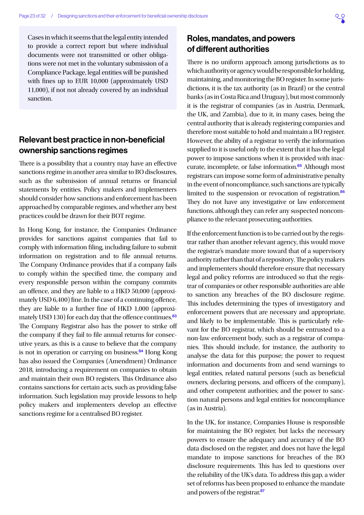<span id="page-22-0"></span>Cases in which it seems that the legal entity intended to provide a correct report but where individual documents were not transmitted or other obligations were not met in the voluntary submission of a Compliance Package, legal entities will be punished with fines up to EUR 10,000 (approximately USD 11,000), if not not already covered by an individual sanction.

## Relevant best practice in non-beneficial ownership sanctions regimes

There is a possibility that a country may have an effective sanctions regime in another area similar to BO disclosures, such as the submission of annual returns or financial statements by entities. Policy makers and implementers should consider how sanctions and enforcement has been approached by comparable regimes, and whether any best practices could be drawn for their BOT regime.

In Hong Kong, for instance, the Companies Ordinance provides for sanctions against companies that fail to comply with information filing, including failure to submit information on registration and to file annual returns. The Company Ordinance provides that if a company fails to comply within the specified time, the company and every responsible person within the company commits an offence, and they are liable to a HKD 50,000 (approximately USD 6,400) fine. In the case of a continuing offence, they are liable to a further fine of HKD 1,000 (approxi-mately USD 130) for each day that the offence continues.<sup>[83](#page-30-0)</sup> The Company Registrar also has the power to strike off the company if they fail to file annual returns for consecutive years, as this is a cause to believe that the company is not in operation or carrying on business.<sup>[84](#page-30-0)</sup> Hong Kong has also issued the Companies (Amendment) Ordinance 2018, introducing a requirement on companies to obtain and maintain their own BO registers. This Ordinance also contains sanctions for certain acts, such as providing false information. Such legislation may provide lessons to help policy makers and implementers develop an effective sanctions regime for a centralised BO register.

## Roles, mandates, and powers of different authorities

There is no uniform approach among jurisdictions as to which authority or agency would be responsible for holding, maintaining, and monitoring the BO register. In some jurisdictions, it is the tax authority (as in Brazil) or the central banks (as in Costa Rica and Uruguay), but most commonly it is the registrar of companies (as in Austria, Denmark, the UK, and Zambia), due to it, in many cases, being the central authority that is already registering companies and therefore most suitable to hold and maintain a BO register. However, the ability of a registrar to verify the information supplied to it is useful only to the extent that it has the legal power to impose sanctions when it is provided with inac-curate, incomplete, or false information.<sup>[85](#page-30-0)</sup> Although most registrars can impose some form of administrative penalty in the event of noncompliance, such sanctions are typically limited to the suspension or revocation of registration.<sup>[86](#page-30-0)</sup> They do not have any investigative or law enforcement functions, although they can refer any suspected noncompliance to the relevant prosecuting authorities.

If the enforcement function is to be carried out by the registrar rather than another relevant agency, this would move the registrar's mandate more toward that of a supervisory authority rather than that of a repository. The policy makers and implementers should therefore ensure that necessary legal and policy reforms are introduced so that the registrar of companies or other responsible authorities are able to sanction any breaches of the BO disclosure regime. This includes determining the types of investigatory and enforcement powers that are necessary and appropriate, and likely to be implementable. This is particularly relevant for the BO registrar, which should be entrusted to a non-law enforcement body, such as a registrar of companies. This should include, for instance, the authority to analyse the data for this purpose; the power to request information and documents from and send warnings to legal entities, related natural persons (such as beneficial owners, declaring persons, and officers of the company), and other competent authorities; and the power to sanction natural persons and legal entities for noncompliance (as in Austria).

In the UK, for instance, Companies House is responsible for maintaining the BO register, but lacks the necessary powers to ensure the adequacy and accuracy of the BO data disclosed on the register, and does not have the legal mandate to impose sanctions for breaches of the BO disclosure requirements. This has led to questions over the reliability of the UK's data. To address this gap, a wider set of reforms has been proposed to enhance the mandate and powers of the registrar.[87](#page-30-0)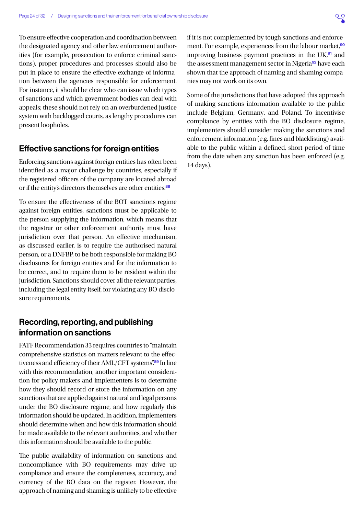<span id="page-23-0"></span>To ensure effective cooperation and coordination between the designated agency and other law enforcement authorities (for example, prosecution to enforce criminal sanctions), proper procedures and processes should also be put in place to ensure the effective exchange of information between the agencies responsible for enforcement. For instance, it should be clear who can issue which types of sanctions and which government bodies can deal with appeals; these should not rely on an overburdened justice system with backlogged courts, as lengthy procedures can present loopholes.

## Effective sanctions for foreign entities

Enforcing sanctions against foreign entities has often been identified as a major challenge by countries, especially if the registered officers of the company are located abroad or if the entity's directors themselves are other entities.<sup>[88](#page-30-0)</sup>

To ensure the effectiveness of the BOT sanctions regime against foreign entities, sanctions must be applicable to the person supplying the information, which means that the registrar or other enforcement authority must have jurisdiction over that person. An effective mechanism, as discussed earlier, is to require the authorised natural person, or a DNFBP, to be both responsible for making BO disclosures for foreign entities and for the information to be correct, and to require them to be resident within the jurisdiction. Sanctions should cover all the relevant parties, including the legal entity itself, for violating any BO disclosure requirements.

## Recording, reporting, and publishing information on sanctions

FATF Recommendation 33 requires countries to "maintain comprehensive statistics on matters relevant to the effec-tiveness and efficiency of their AML/CFT systems".<sup>[89](#page-30-0)</sup> In line with this recommendation, another important consideration for policy makers and implementers is to determine how they should record or store the information on any sanctions that are applied against natural and legal persons under the BO disclosure regime, and how regularly this information should be updated. In addition, implementers should determine when and how this information should be made available to the relevant authorities, and whether this information should be available to the public.

The public availability of information on sanctions and noncompliance with BO requirements may drive up compliance and ensure the completeness, accuracy, and currency of the BO data on the register. However, the approach of naming and shaming is unlikely to be effective

if it is not complemented by tough sanctions and enforce-ment. For example, experiences from the labour market,<sup>[90](#page-30-0)</sup> improving business payment practices in the  $UK<sub>1</sub><sup>91</sup>$  $UK<sub>1</sub><sup>91</sup>$  $UK<sub>1</sub><sup>91</sup>$  and the assessment management sector in Nigeria<sup>[92](#page-30-0)</sup> have each shown that the approach of naming and shaming companies may not work on its own.

Some of the jurisdictions that have adopted this approach of making sanctions information available to the public include Belgium, Germany, and Poland. To incentivise compliance by entities with the BO disclosure regime, implementers should consider making the sanctions and enforcement information (e.g. fines and blacklisting) available to the public within a defined, short period of time from the date when any sanction has been enforced (e.g. 14 days).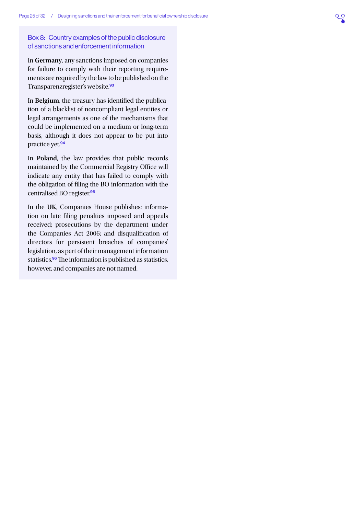### <span id="page-24-0"></span>Box 8: Country examples of the public disclosure of sanctions and enforcement information

In **Germany**, any sanctions imposed on companies for failure to comply with their reporting requirements are required by the law to be published on the Transparenzregister's website.<sup>[93](#page-30-0)</sup>

In **Belgium**, the treasury has identified the publication of a blacklist of noncompliant legal entities or legal arrangements as one of the mechanisms that could be implemented on a medium or long-term basis, although it does not appear to be put into practice yet.<sup>[94](#page-30-0)</sup>

In **Poland**, the law provides that public records maintained by the Commercial Registry Office will indicate any entity that has failed to comply with the obligation of filing the BO information with the centralised BO register.<sup>[95](#page-30-0)</sup>

In the **UK**, Companies House publishes: information on late filing penalties imposed and appeals received; prosecutions by the department under the Companies Act 2006; and disqualification of directors for persistent breaches of companies' legislation, as part of their management information statistics.<sup>[96](#page-30-0)</sup> The information is published as statistics, however, and companies are not named.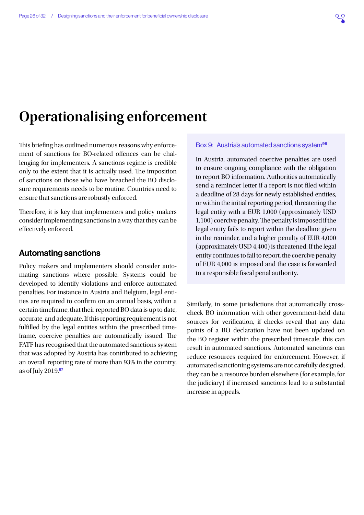## <span id="page-25-1"></span><span id="page-25-0"></span>**Operationalising enforcement**

This briefing has outlined numerous reasons why enforcement of sanctions for BO-related offences can be challenging for implementers. A sanctions regime is credible only to the extent that it is actually used. The imposition of sanctions on those who have breached the BO disclosure requirements needs to be routine. Countries need to ensure that sanctions are robustly enforced.

Therefore, it is key that implementers and policy makers consider implementing sanctions in a way that they can be effectively enforced.

### Automating sanctions

Policy makers and implementers should consider automating sanctions where possible. Systems could be developed to identify violations and enforce automated penalties. For instance in Austria and Belgium, legal entities are required to confirm on an annual basis, within a certain timeframe, that their reported BO data is up to date, accurate, and adequate. If this reporting requirement is not fulfilled by the legal entities within the prescribed timeframe, coercive penalties are automatically issued. The FATF has recognised that the automated sanctions system that was adopted by Austria has contributed to achieving an overall reporting rate of more than 93% in the country, as of July  $2019.97$  $2019.97$ 

#### <span id="page-25-2"></span>Box 9: Austria's automated sanctions system<sup>[98](#page-30-0)</sup>

In Austria, automated coercive penalties are used to ensure ongoing compliance with the obligation to report BO information. Authorities automatically send a reminder letter if a report is not filed within a deadline of 28 days for newly established entities, or within the initial reporting period, threatening the legal entity with a EUR 1,000 (approximately USD 1,100) coercive penalty. The penalty is imposed if the legal entity fails to report within the deadline given in the reminder, and a higher penalty of EUR 4,000 (approximately USD 4,400) is threatened. If the legal entity continues to fail to report, the coercive penalty of EUR 4,000 is imposed and the case is forwarded to a responsible fiscal penal authority.

Similarly, in some jurisdictions that automatically crosscheck BO information with other government-held data sources for verification, if checks reveal that any data points of a BO declaration have not been updated on the BO register within the prescribed timescale, this can result in automated sanctions. Automated sanctions can reduce resources required for enforcement. However, if automated sanctioning systems are not carefully designed, they can be a resource burden elsewhere (for example, for the judiciary) if increased sanctions lead to a substantial increase in appeals.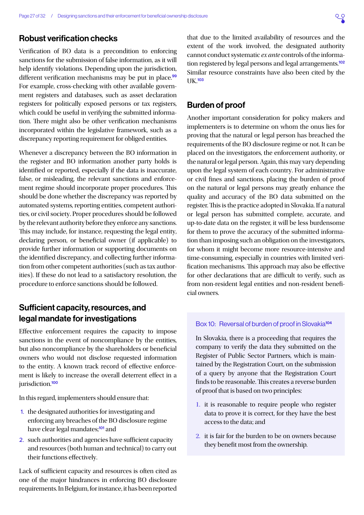## <span id="page-26-0"></span>Robust verification checks

Verification of BO data is a precondition to enforcing sanctions for the submission of false information, as it will help identify violations. Depending upon the jurisdiction, different verification mechanisms may be put in place.<sup>[99](#page-30-0)</sup> For example, cross-checking with other available government registers and databases, such as asset declaration registers for politically exposed persons or tax registers, which could be useful in verifying the submitted information. There might also be other verification mechanisms incorporated within the legislative framework, such as a discrepancy reporting requirement for obliged entities.

Whenever a discrepancy between the BO information in the register and BO information another party holds is identified or reported, especially if the data is inaccurate, false, or misleading, the relevant sanctions and enforcement regime should incorporate proper procedures. This should be done whether the discrepancy was reported by automated systems, reporting entities, competent authorities, or civil society. Proper procedures should be followed by the relevant authority before they enforce any sanctions. This may include, for instance, requesting the legal entity, declaring person, or beneficial owner (if applicable) to provide further information or supporting documents on the identified discrepancy, and collecting further information from other competent authorities (such as tax authorities). If these do not lead to a satisfactory resolution, the procedure to enforce sanctions should be followed.

## Sufficient capacity, resources, and legal mandate for investigations

Effective enforcement requires the capacity to impose sanctions in the event of noncompliance by the entities, but also noncompliance by the shareholders or beneficial owners who would not disclose requested information to the entity. A known track record of effective enforcement is likely to increase the overall deterrent effect in a jurisdiction.<sup>[100](#page-30-0)</sup>

In this regard, implementers should ensure that:

- 1. the designated authorities for investigating and enforcing any breaches of the BO disclosure regime have clear legal mandates;<sup>[101](#page-30-0)</sup> and
- 2. such authorities and agencies have sufficient capacity and resources (both human and technical) to carry out their functions effectively.

Lack of sufficient capacity and resources is often cited as one of the major hindrances in enforcing BO disclosure requirements. In Belgium, for instance, it has been reported that due to the limited availability of resources and the extent of the work involved, the designated authority cannot conduct systematic *ex ante* controls of the informa-tion registered by legal persons and legal arrangements.<sup>[102](#page-30-0)</sup> Similar resource constraints have also been cited by the UK.[103](#page-30-0)

## Burden of proof

Another important consideration for policy makers and implementers is to determine on whom the onus lies for proving that the natural or legal person has breached the requirements of the BO disclosure regime or not. It can be placed on the investigators, the enforcement authority, or the natural or legal person. Again, this may vary depending upon the legal system of each country. For administrative or civil fines and sanctions, placing the burden of proof on the natural or legal persons may greatly enhance the quality and accuracy of the BO data submitted on the register. This is the practice adopted in Slovakia. If a natural or legal person has submitted complete, accurate, and up-to-date data on the register, it will be less burdensome for them to prove the accuracy of the submitted information than imposing such an obligation on the investigators, for whom it might become more resource-intensive and time-consuming, especially in countries with limited verification mechanisms. This approach may also be effective for other declarations that are difficult to verify, such as from non-resident legal entities and non-resident beneficial owners.

#### Box 10: Reversal of burden of proof in Slovakia<sup>[104](#page-30-0)</sup>

In Slovakia, there is a proceeding that requires the company to verify the data they submitted on the Register of Public Sector Partners, which is maintained by the Registration Court, on the submission of a query by anyone that the Registration Court finds to be reasonable. This creates a reverse burden of proof that is based on two principles:

- 1. it is reasonable to require people who register data to prove it is correct, for they have the best access to the data; and
- 2. it is fair for the burden to be on owners because they benefit most from the ownership.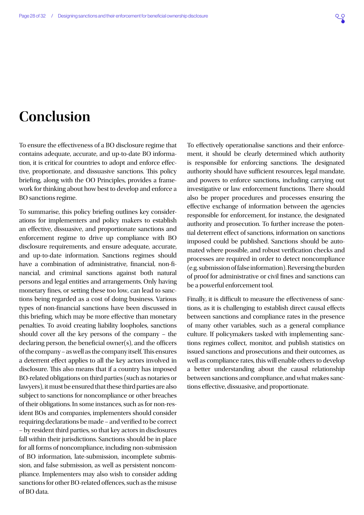## <span id="page-27-0"></span>**Conclusion**

To ensure the effectiveness of a BO disclosure regime that contains adequate, accurate, and up-to-date BO information, it is critical for countries to adopt and enforce effective, proportionate, and dissuasive sanctions. This policy briefing, along with the OO Principles, provides a framework for thinking about how best to develop and enforce a BO sanctions regime.

To summarise, this policy briefing outlines key considerations for implementers and policy makers to establish an effective, dissuasive, and proportionate sanctions and enforcement regime to drive up compliance with BO disclosure requirements, and ensure adequate, accurate, and up-to-date information. Sanctions regimes should have a combination of administrative, financial, non-financial, and criminal sanctions against both natural persons and legal entities and arrangements. Only having monetary fines, or setting these too low, can lead to sanctions being regarded as a cost of doing business. Various types of non-financial sanctions have been discussed in this briefing, which may be more effective than monetary penalties. To avoid creating liability loopholes, sanctions should cover all the key persons of the company – the declaring person, the beneficial owner(s), and the officers of the company – as well as the company itself. This ensures a deterrent effect applies to all the key actors involved in disclosure. This also means that if a country has imposed BO-related obligations on third parties (such as notaries or lawyers), it must be ensured that these third parties are also subject to sanctions for noncompliance or other breaches of their obligations. In some instances, such as for non-resident BOs and companies, implementers should consider requiring declarations be made – and verified to be correct – by resident third parties, so that key actors in disclosures fall within their jurisdictions. Sanctions should be in place for all forms of noncompliance, including non-submission of BO information, late-submission, incomplete submission, and false submission, as well as persistent noncompliance. Implementers may also wish to consider adding sanctions for other BO-related offences, such as the misuse of BO data.

To effectively operationalise sanctions and their enforcement, it should be clearly determined which authority is responsible for enforcing sanctions. The designated authority should have sufficient resources, legal mandate, and powers to enforce sanctions, including carrying out investigative or law enforcement functions. There should also be proper procedures and processes ensuring the effective exchange of information between the agencies responsible for enforcement, for instance, the designated authority and prosecution. To further increase the potential deterrent effect of sanctions, information on sanctions imposed could be published. Sanctions should be automated where possible, and robust verification checks and processes are required in order to detect noncompliance (e.g. submission of false information). Reversing the burden of proof for administrative or civil fines and sanctions can be a powerful enforcement tool.

Finally, it is difficult to measure the effectiveness of sanctions, as it is challenging to establish direct causal effects between sanctions and compliance rates in the presence of many other variables, such as a general compliance culture. If policymakers tasked with implementing sanctions regimes collect, monitor, and publish statistics on issued sanctions and prosecutions and their outcomes, as well as compliance rates, this will enable others to develop a better understanding about the causal relationship between sanctions and compliance, and what makes sanctions effective, dissuasive, and proportionate.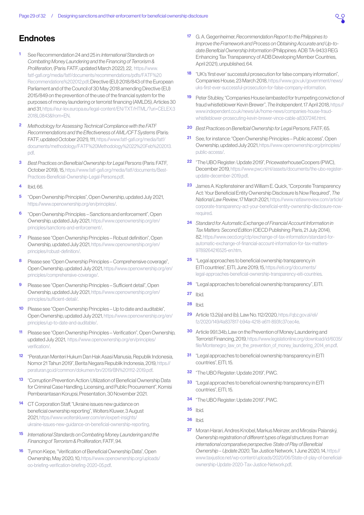## <span id="page-28-0"></span>**Endnotes**

- [1](#page-1-0) See Recommendation 24 and 25 in: *International Standards on Combating Money Laundering and the Financing of Terrorism & Proliferation*, (Paris: FATF, updated March 2022), 22, [https://www.](https://www.fatf-gafi.org/media/fatf/documents/recommendations/pdfs/FATF%20Recommendations%202012.pdf) [fatf-gafi.org/media/fatf/documents/recommendations/pdfs/FATF%20](https://www.fatf-gafi.org/media/fatf/documents/recommendations/pdfs/FATF%20Recommendations%202012.pdf) [Recommendations%202012.pdf;](https://www.fatf-gafi.org/media/fatf/documents/recommendations/pdfs/FATF%20Recommendations%202012.pdf) Directive (EU) 2018/843 of the European Parliament and of the Council of 30 May 2018 amending Directive (EU) 2015/849 on the prevention of the use of the financial system for the purposes of money laundering or terrorist financing (AMLD5), Articles 30 and 31, [https://eur-lex.europa.eu/legal-content/EN/TXT/HTML/?uri=CELEX:3](https://eur-lex.europa.eu/legal-content/EN/TXT/HTML/?uri=CELEX:32018L0843&from=EN) [2018L0843&from=EN.](https://eur-lex.europa.eu/legal-content/EN/TXT/HTML/?uri=CELEX:32018L0843&from=EN)
- [2](#page-1-0) *Methodology for Assessing Technical Compliance with the FATF Recommendations and the Effectiveness of AML/CFT Systems* (Paris: FATF, updated October 2021), 111, [https://www.fatf-gafi.org/media/fatf/](https://www.fatf-gafi.org/media/fatf/documents/methodology/FATF%20Methodology%2022%20Feb%202013.pdf) [documents/methodology/FATF%20Methodology%2022%20Feb%202013.](https://www.fatf-gafi.org/media/fatf/documents/methodology/FATF%20Methodology%2022%20Feb%202013.pdf) [pdf.](https://www.fatf-gafi.org/media/fatf/documents/methodology/FATF%20Methodology%2022%20Feb%202013.pdf)
- [3](#page-1-0) *Best Practices on Beneficial Ownership for Legal Persons* (Paris: FATF, October 2019), 15, [https://www.fatf-gafi.org/media/fatf/documents/Best-](https://www.fatf-gafi.org/media/fatf/documents/Best-Practices-Beneficial-Ownership-Legal-Persons.pdf)[Practices-Beneficial-Ownership-Legal-Persons.pdf](https://www.fatf-gafi.org/media/fatf/documents/Best-Practices-Beneficial-Ownership-Legal-Persons.pdf).
- [4](#page-1-0) Ibid, 66.
- [5](#page-2-0) "Open Ownership Principles", Open Ownership, updated July 2021, [https://www.openownership.org/en/principles/.](https://www.openownership.org/en/principles/)
- [6](#page-2-0) "Open Ownership Principles Sanctions and enforcement", Open Ownership, updated July 2021, [https://www.openownership.org/en/](https://www.openownership.org/en/principles/sanctions-and-enforcement/) [principles/sanctions-and-enforcement/.](https://www.openownership.org/en/principles/sanctions-and-enforcement/)
- [7](#page-5-0) Please see "Open Ownership Principles Robust definition", Open Ownership, updated July 2021, [https://www.openownership.org/en/](https://www.openownership.org/en/principles/robust-definition/) [principles/robust-definition/.](https://www.openownership.org/en/principles/robust-definition/)
- [8](#page-5-0) Please see "Open Ownership Principles Comprehensive coverage", Open Ownership, updated July 2021, [https://www.openownership.org/en/](https://www.openownership.org/en/principles/comprehensive-coverage/) [principles/comprehensive-coverage/](https://www.openownership.org/en/principles/comprehensive-coverage/).
- [9](#page-5-0) Please see "Open Ownership Principles Sufficient detail", Open Ownership, updated July 2021, [https://www.openownership.org/en/](https://www.openownership.org/en/principles/sufficient-detail/) [principles/sufficient-detail/](https://www.openownership.org/en/principles/sufficient-detail/).
- [10](#page-5-0) Please see "Open Ownership Principles Up to date and auditable", Open Ownership, updated July 2021, [https://www.openownership.org/en/](https://www.openownership.org/en/principles/up-to-date-and-auditable/) [principles/up-to-date-and-auditable/](https://www.openownership.org/en/principles/up-to-date-and-auditable/).
- [11](#page-5-0) Please see "Open Ownership Principles Verification", Open Ownership, updated July 2021, [https://www.openownership.org/en/principles/](https://www.openownership.org/en/principles/verification/) [verification/.](https://www.openownership.org/en/principles/verification/)
- [12](#page-7-0) "Peraturan Menteri Hukum Dan Hak Asasi Manusia, Republik Indonesia, Nomor 21 Tahun 2019", Berita Negara Republik Indonesia, 2019, [https://](https://peraturan.go.id/common/dokumen/bn/2019/BN%201112-2019.pdf) [peraturan.go.id/common/dokumen/bn/2019/BN%201112-2019.pdf.](https://peraturan.go.id/common/dokumen/bn/2019/BN%201112-2019.pdf)
- [13](#page-7-0) "Corruption Prevention Action: Utilization of Beneficial Ownership Data for Criminal Case Handling, Licensing, and Public Procurement", Komisi Pemberantasan Korupsi, Presentation, 30 November 2021.
- [14](#page-7-0) CT Corporation Staff, "Ukraine issues new quidance on beneficial ownership reporting", Wolters Kluwer, 3 August 2021, [https://www.wolterskluwer.com/en/expert-insights/](https://www.wolterskluwer.com/en/expert-insights/ukraine-issues-new-guidance-on-beneficial-ownership-reporting) [ukraine-issues-new-guidance-on-beneficial-ownership-reporting.](https://www.wolterskluwer.com/en/expert-insights/ukraine-issues-new-guidance-on-beneficial-ownership-reporting)
- [15](#page-7-0) *International Standards on Combating Money Laundering and the Financing of Terrorism & Proliferation*, FATF, 94.
- [16](#page-8-1) Tymon Kiepe, "Verification of Beneficial Ownership Data", Open Ownership, May 2020, 10, [https://www.openownership.org/uploads/](https://www.openownership.org/uploads/oo-briefing-verification-briefing-2020-05.pdf) [oo-briefing-verification-briefing-2020-05.pdf](https://www.openownership.org/uploads/oo-briefing-verification-briefing-2020-05.pdf).
- [17](#page-8-1) G. A. Gegenheimer, *Recommendation Report to the Philippines to Improve the Framework and Process on Obtaining Accurate and Up-todate Beneficial Ownership Information* (Philippines: ADB TA-9433 REG Enhancing Tax Transparency of ADB Developing Member Countries, April 2021), unpublished, 64.
- [18](#page-8-1) "UK's 'first ever' successful prosecution for false company information", Companies House, 23 March 2018, [https://www.gov.uk/government/news/](https://www.gov.uk/government/news/uks-first-ever-successful-prosecution-for-false-company-information) [uks-first-ever-successful-prosecution-for-false-company-information](https://www.gov.uk/government/news/uks-first-ever-successful-prosecution-for-false-company-information).
- [19](#page-8-1) Peter Stubley, "Companies House lambasted for trumpeting conviction of fraud whistleblower Kevin Brewer", *The Independent*, 17 April 2018, [https://](https://www.independent.co.uk/news/uk/home-news/companies-house-fraud-whistleblower-prosecuting-kevin-brewer-vince-cable-a8307246.html) [www.independent.co.uk/news/uk/home-news/companies-house-fraud](https://www.independent.co.uk/news/uk/home-news/companies-house-fraud-whistleblower-prosecuting-kevin-brewer-vince-cable-a8307246.html)[whistleblower-prosecuting-kevin-brewer-vince-cable-a8307246.html](https://www.independent.co.uk/news/uk/home-news/companies-house-fraud-whistleblower-prosecuting-kevin-brewer-vince-cable-a8307246.html).
- [20](#page-8-1) *Best Practices on Beneficial Ownership for Legal Persons*, FATF, 65.
- [21](#page-9-0) See, for instance: "Open Ownership Principles Public access", Open Ownership, updated July 2021, [https://www.openownership.org/principles/](https://www.openownership.org/principles/public-access/) [public-access/](https://www.openownership.org/principles/public-access/).
- [22](#page-9-0) "The UBO Register: Update 2019", PricewaterhouseCoopers (PWC), December 2019, [https://www.pwc.nl/nl/assets/documents/the-ubo-register](https://www.pwc.nl/nl/assets/documents/the-ubo-register-update-december-2019.pdf)[update-december-2019.pdf](https://www.pwc.nl/nl/assets/documents/the-ubo-register-update-december-2019.pdf).
- [23](#page-9-0) James A. Kopfensteiner and William E. Quick, "Corporate Transparency Act: Your Beneficial Entity Ownership Disclosure Is Now Required", *The National Law Review*, 17 March 2021, [https://www.natlawreview.com/article/](https://www.natlawreview.com/article/corporate-transparency-act-your-beneficial-entity-ownership-disclosure-now-required) [corporate-transparency-act-your-beneficial-entity-ownership-disclosure-now](https://www.natlawreview.com/article/corporate-transparency-act-your-beneficial-entity-ownership-disclosure-now-required)[required](https://www.natlawreview.com/article/corporate-transparency-act-your-beneficial-entity-ownership-disclosure-now-required).
- [24](#page-9-0) *Standard for Automatic Exchange of Financial Account Information in Tax Matters: Second Edition* (OECD Publishing: Paris, 21 July 2014), 82, [https://www.oecd.org/ctp/exchange-of-tax-information/standard-for](https://www.oecd.org/ctp/exchange-of-tax-information/standard-for-automatic-exchange-of-financial-account-information-for-tax-matters-9789264216525-en.htm)[automatic-exchange-of-financial-account-information-for-tax-matters-](https://www.oecd.org/ctp/exchange-of-tax-information/standard-for-automatic-exchange-of-financial-account-information-for-tax-matters-9789264216525-en.htm)[9789264216525-en.htm](https://www.oecd.org/ctp/exchange-of-tax-information/standard-for-automatic-exchange-of-financial-account-information-for-tax-matters-9789264216525-en.htm).
- [25](#page-11-1) "Legal approaches to beneficial ownership transparency in EITI countries", EITI, June 2019, 15, [https://eiti.org/documents/](https://eiti.org/documents/legal-approaches-beneficial-ownership-transparency-eiti-countries) [legal-approaches-beneficial-ownership-transparency-eiti-countries](https://eiti.org/documents/legal-approaches-beneficial-ownership-transparency-eiti-countries).
- [26](#page-11-1) "Legal approaches to beneficial ownership transparency", EITI.
- $27$  Ibid.
- [28](#page-11-1) Ibid.
- [29](#page-11-1) Article 13.2(a) and (b), Law No. 112/2020, [https://qbz.gov.al/eli/](https://qbz.gov.al/eli/fz/2020/149/4a837817-b94a-4218-a611-893fc37cec4e) [fz/2020/149/4a837817-b94a-4218-a611-893fc37cec4e](https://qbz.gov.al/eli/fz/2020/149/4a837817-b94a-4218-a611-893fc37cec4e).
- [30](#page-11-1) Article 99.1.34b, Law on the Prevention of Money Laundering and Terrorist Financing, 2019, [https://www.legislationline.org/download/id/6035/](https://www.legislationline.org/download/id/6035/file/Montenegro_law_on_the_prevention_of_money_laundering_2014_en.pdf) [file/Montenegro\\_law\\_on\\_the\\_prevention\\_of\\_money\\_laundering\\_2014\\_en.pdf](https://www.legislationline.org/download/id/6035/file/Montenegro_law_on_the_prevention_of_money_laundering_2014_en.pdf).
- [31](#page-11-1) "Legal approaches to beneficial ownership transparency in EITI countries", EITI, 15.
- [32](#page-11-1) "The UBO Register: Update 2019", PWC.
- [33](#page-11-1) "Legal approaches to beneficial ownership transparency in EITI countries", EITI, 15.
- [34](#page-11-1) "The UBO Register: Update 2019", PWC.
- [35](#page-11-1) Ibid.
- [36](#page-11-1) Ibid.
- [37](#page-11-1) Moran Harari, Andres Knobel, Markus Meinzer, and Miroslav Palanský, *Ownership registration of different types of legal structures from an international comparative perspective: State of Play of Beneficial Ownership – Update 2020*, Tax Justice Network, 1 June 2020, 14, [https://](https://www.taxjustice.net/wp-content/uploads/2020/06/State-of-play-of-beneficial-ownership-Update-2020-Tax-Justice-Network.pdf) [www.taxjustice.net/wp-content/uploads/2020/06/State-of-play-of-beneficial](https://www.taxjustice.net/wp-content/uploads/2020/06/State-of-play-of-beneficial-ownership-Update-2020-Tax-Justice-Network.pdf)[ownership-Update-2020-Tax-Justice-Network.pdf.](https://www.taxjustice.net/wp-content/uploads/2020/06/State-of-play-of-beneficial-ownership-Update-2020-Tax-Justice-Network.pdf)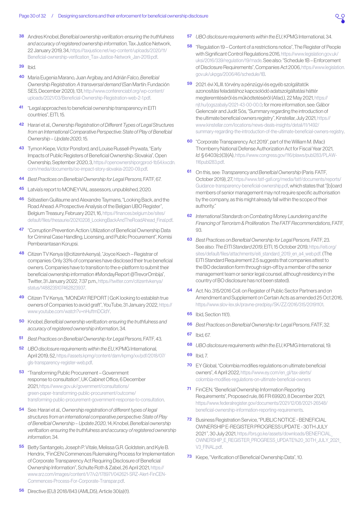- <span id="page-29-0"></span>[38](#page-11-1) Andres Knobel, *Beneficial ownership verification: ensuring the truthfulness and accuracy of registered ownership information*, Tax Justice Network, 22 January 2019, 34, [https://taxjustice.net/wp-content/uploads/2020/11/](https://taxjustice.net/wp-content/uploads/2020/11/Beneficial-ownership-verification_Tax-Justice-Network_Jan-2019.pdf) [Beneficial-ownership-verification\\_Tax-Justice-Network\\_Jan-2019.pdf](https://taxjustice.net/wp-content/uploads/2020/11/Beneficial-ownership-verification_Tax-Justice-Network_Jan-2019.pdf).
- **[39](#page-12-1)** Ihid
- [40](#page-12-1) Maria Eugenia Marano, Juan Argibay, and Adrián Falco, *Beneficial Ownership Registration: A transversal demand* (San Martín: Fundación SES, December 2020), 131, [http://www.conferenciabf.org/wp-content/](http://www.conferenciabf.org/wp-content/uploads/2021/03/Beneficial-Ownership-Registration-web-2-1.pdf) [uploads/2021/03/Beneficial-Ownership-Registration-web-2-1.pdf](http://www.conferenciabf.org/wp-content/uploads/2021/03/Beneficial-Ownership-Registration-web-2-1.pdf).
- [41](#page-12-1) "Legal approaches to beneficial ownership transparency in EITI countries", EITI, 15.
- [42](#page-12-1) Harari et al., *Ownership Registration of Different Types of Legal Structures from an International Comparative Perspective: State of Play of Beneficial Ownership – Update 2020*, 15.
- [43](#page-12-1) Tymon Kiepe, Victor Ponsford, and Louise Russell-Prywata, "Early Impacts of Public Registers of Beneficial Ownership: Slovakia", Open Ownership, September 2020, 3, [https://openownershiporgprod-1b54.kxcdn.](https://openownershiporgprod-1b54.kxcdn.com/media/documents/oo-impact-story-slovakia-2020-09.pdf) [com/media/documents/oo-impact-story-slovakia-2020-09.pdf.](https://openownershiporgprod-1b54.kxcdn.com/media/documents/oo-impact-story-slovakia-2020-09.pdf)
- [44](#page-12-1) *Best Practices on Beneficial Ownership for Legal Persons*, FATF, 67.
- [45](#page-13-0) Latvia's report to MONEYVAL assessors, unpublished, 2020.
- [46](#page-13-0) Sébastien Guillaume and Alexandre Taymans, "Looking Back, and the Road Ahead: A Prospective Analysis of the Belgian UBO Register", Belgium Treasury, February 2021, 16, [https://finances.belgium.be/sites/](https://finances.belgium.be/sites/default/files/thesaurie/20210208_LookingBackAndTheRoadAhead_Final.pdf) [default/files/thesaurie/20210208\\_LookingBackAndTheRoadAhead\\_Final.pdf](https://finances.belgium.be/sites/default/files/thesaurie/20210208_LookingBackAndTheRoadAhead_Final.pdf).
- [47](#page-13-0) "Corruption Prevention Action: Utilization of Beneficial Ownership Data for Criminal Case Handling, Licensing, and Public Procurement", Komisi Pemberantasan Korupsi.
- [48](#page-13-0) Citizen TV Kenya (@citizentvkenya), "Joyce Koech Registrar of companies: Only 33% of companies have disclosed their true beneficial owners. Companies have to transition to the e-platform to submit their beneficial ownership information #MondayReport @TrevorOmbija", Twitter, 31 January 2022, 7:37 p.m., [https://twitter.com/citizentvkenya/](https://twitter.com/citizentvkenya/status/1488235107462823937) [status/1488235107462823937.](https://twitter.com/citizentvkenya/status/1488235107462823937)
- [49](#page-13-0) Citizen TV Kenya, "MONDAY REPORT | GoK looking to establish true owners of Companies to avoid graft", YouTube, 31 January 2022, [https://](https://www.youtube.com/watch?v=nHuftmDCIdY) [www.youtube.com/watch?v=nHuftmDCIdY.](https://www.youtube.com/watch?v=nHuftmDCIdY)
- [50](#page-13-0) Knobel, *Beneficial ownership verification: ensuring the truthfulness and accuracy of registered ownership information*, 34.
- [51](#page-13-0) *Best Practices on Beneficial Ownership for Legal Persons*, FATF, 43.
- [52](#page-13-0) *UBO disclosure requirements within the EU*, KPMG International, April 2019, 52, [https://assets.kpmg/content/dam/kpmg/xx/pdf/2018/07/](https://assets.kpmg/content/dam/kpmg/xx/pdf/2018/07/gls-transparency-register-web.pdf) [gls-transparency-register-web.pdf.](https://assets.kpmg/content/dam/kpmg/xx/pdf/2018/07/gls-transparency-register-web.pdf)
- [53](#page-13-0) "Transforming Public Procurement Government response to consultation", UK Cabinet Office, 6 December 2021, [https://www.gov.uk/government/consultations/](https://www.gov.uk/government/consultations/green-paper-transforming-public-procurement/outcome/transforming-public-procurement-government-response-to-consultation) [green-paper-transforming-public-procurement/outcome/](https://www.gov.uk/government/consultations/green-paper-transforming-public-procurement/outcome/transforming-public-procurement-government-response-to-consultation) [transforming-public-procurement-government-response-to-consultation](https://www.gov.uk/government/consultations/green-paper-transforming-public-procurement/outcome/transforming-public-procurement-government-response-to-consultation).
- [54](#page-14-1) See: Harari et al., *Ownership registration of different types of legal structures from an international comparative perspective: State of Play of Beneficial Ownership – Update 2020*, 14; Knobel, *Beneficial ownership verification: ensuring the truthfulness and accuracy of registered ownership information*, 34.
- [55](#page-14-1) Betty Santangelo, Joseph P. Vitale, Melissa G.R. Goldstein, and Kyle B. Hendrix, "FinCEN Commences Rulemaking Process for Implementation of Corporate Transparency Act Requiring Disclosure of Beneficial Ownership Information", Schulte Roth & Zabel, 26 April 2021, [https://](https://www.srz.com/images/content/1/7/v2/178971/042621-SRZ-Alert-FinCEN-Commences-Process-For-Corporate-Transpar.pdf) [www.srz.com/images/content/1/7/v2/178971/042621-SRZ-Alert-FinCEN-](https://www.srz.com/images/content/1/7/v2/178971/042621-SRZ-Alert-FinCEN-Commences-Process-For-Corporate-Transpar.pdf)[Commences-Process-For-Corporate-Transpar.pdf.](https://www.srz.com/images/content/1/7/v2/178971/042621-SRZ-Alert-FinCEN-Commences-Process-For-Corporate-Transpar.pdf)
- [57](#page-15-0) *UBO disclosure requirements within the EU*, KPMG International, 34.
- [58](#page-15-0) "Regulation 19 Content of a restrictions notice", The Register of People with Significant Control Regulations 2016, [https://www.legislation.gov.uk/](https://www.legislation.gov.uk/uksi/2016/339/regulation/19/made) [uksi/2016/339/regulation/19/made.](https://www.legislation.gov.uk/uksi/2016/339/regulation/19/made) See also: "Schedule 1B – Enforcement of Disclosure Requirements", Companies Act 2006, [https://www.legislation.](https://www.legislation.gov.uk/ukpga/2006/46/schedule/1B) [gov.uk/ukpga/2006/46/schedule/1B.](https://www.legislation.gov.uk/ukpga/2006/46/schedule/1B)
- [59](#page-16-1) 2021. évi XLIII. törvény a pénzügyi és egyéb szolgáltatók azonosítási feladatához kapcsolódó adatszolgáltatási háttér megteremtéséről és működtetéséről (Afad.), 22 May 2021, [https://](https://njt.hu/jogszabaly/2021-43-00-00.0) [njt.hu/jogszabaly/2021-43-00-00.0;](https://njt.hu/jogszabaly/2021-43-00-00.0) for more information, see: Gábor Gelencsér and Judit Sós, "Summary regarding the introduction of the ultimate beneficial owners registry", Kinstellar, July 2021, [https://](https://www.kinstellar.com/locations/news-deals-insights/detail/11/1492/summary-regarding-the-introduction-of-the-ultimate-beneficial-owners-registry) [www.kinstellar.com/locations/news-deals-insights/detail/11/1492/](https://www.kinstellar.com/locations/news-deals-insights/detail/11/1492/summary-regarding-the-introduction-of-the-ultimate-beneficial-owners-registry) [summary-regarding-the-introduction-of-the-ultimate-beneficial-owners-registry.](https://www.kinstellar.com/locations/news-deals-insights/detail/11/1492/summary-regarding-the-introduction-of-the-ultimate-beneficial-owners-registry)
- [60](#page-17-0) "Corporate Transparency Act 2019", part of the William M. (Mac) Thornberry National Defense Authorization Act for Fiscal Year 2021, *Id*. § 6403(c)(3)(A), [https://www.congress.gov/116/plaws/publ283/PLAW-](https://www.congress.gov/116/plaws/publ283/PLAW-116publ283.pdf)[116publ283.pdf](https://www.congress.gov/116/plaws/publ283/PLAW-116publ283.pdf).
- [61](#page-17-0) On this, see: *Transparency and Beneficial Ownership* (Paris: FATF, October 2019), 27, [https://www.fatf-gafi.org/media/fatf/documents/reports/](https://www.fatf-gafi.org/media/fatf/documents/reports/Guidance-transparency-beneficial-ownership.pdf) [Guidance-transparency-beneficial-ownership.pdf,](https://www.fatf-gafi.org/media/fatf/documents/reports/Guidance-transparency-beneficial-ownership.pdf) which states that "[b]oard members of senior management may not require specific authorisation by the company, as this might already fall within the scope of their authority."
- [62](#page-17-0) *International Standards on Combating Money Laundering and the Financing of Terrorism & Proliferation: The FATF Recommendations*, FATF,  $Q_3$
- [63](#page-17-0) *Best Practices on Beneficial Ownership for Legal Persons*, FATF, 23. See also: *The EITI Standard 2019*, EITI, 15 October 2019, [https://eiti.org/](https://eiti.org/sites/default/files/attachments/eiti_standard_2019_en_a4_web.pdf) [sites/default/files/attachments/eiti\\_standard\\_2019\\_en\\_a4\\_web.pdf.](https://eiti.org/sites/default/files/attachments/eiti_standard_2019_en_a4_web.pdf) (The EITI Standard Requirement 2.5 suggests that companies attest to the BO declaration form through sign-off by a member of the senior management team or senior legal counsel, although residency in the country of BO disclosure has not been stated).
- [64](#page-18-1) Act. No. 315/2016 Coll. on Register of Public Sector Partners and on Amendment and Supplement on Certain Acts as amended 25 Oct 2016, <https://www.slov-lex.sk/pravne-predpisy/SK/ZZ/2016/315/20191101>.
- [65](#page-18-1) Ibid, Section 11(1).
- [66](#page-18-1) *Best Practices on Beneficial Ownership for Legal Persons*, FATF, 32.
- [67](#page-19-0) Ibid, 67.
- [68](#page-19-0) *UBO disclosure requirements within the EU*, KPMG International, 19.
- [69](#page-19-0) Ibid, 7.
- [70](#page-20-0) EY Global, "Colombia modifies regulations on ultimate beneficial owners", 4 April 2022, [https://www.ey.com/en\\_gl/tax-alerts/](https://www.ey.com/en_gl/tax-alerts/colombia-modifies-regulations-on-ultimate-beneficial-owners) [colombia-modifies-regulations-on-ultimate-beneficial-owners](https://www.ey.com/en_gl/tax-alerts/colombia-modifies-regulations-on-ultimate-beneficial-owners)
- [71](#page-20-0) FinCEN, "Beneficial Ownership Information Reporting Requirements", Proposed rule, 86 FR 69920, 8 December 2021, [https://www.federalregister.gov/documents/2021/12/08/2021-26548/](https://www.federalregister.gov/documents/2021/12/08/2021-26548/beneficial-ownership-information-reporting-requirements) [beneficial-ownership-information-reporting-requirements](https://www.federalregister.gov/documents/2021/12/08/2021-26548/beneficial-ownership-information-reporting-requirements).
- [72](#page-20-0) Business Registration Service, "PUBLIC NOTICE BENEFICIAL OWNERSHIP E-REGISTER PROGRESS UPDATE - 30TH JULY 2021 ", 30 July 2021, [https://brs.go.ke/assets/downloads/BENEFICIAL\\_](https://brs.go.ke/assets/downloads/BENEFICIAL_OWNERSHIP_E_REGISTER_PROGRESS_UPDATE%20_30TH_JULY_2021_V3_FINAL.pdf) [OWNERSHIP\\_E\\_REGISTER\\_PROGRESS\\_UPDATE%20\\_30TH\\_JULY\\_2021\\_](https://brs.go.ke/assets/downloads/BENEFICIAL_OWNERSHIP_E_REGISTER_PROGRESS_UPDATE%20_30TH_JULY_2021_V3_FINAL.pdf) [V3\\_FINAL.pdf](https://brs.go.ke/assets/downloads/BENEFICIAL_OWNERSHIP_E_REGISTER_PROGRESS_UPDATE%20_30TH_JULY_2021_V3_FINAL.pdf).
- [73](#page-20-0) Kiepe, "Verification of Beneficial Ownership Data", 10.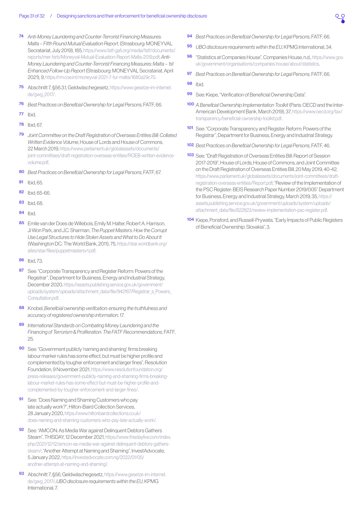- <span id="page-30-0"></span>[74](#page-20-0) *Anti-Money Laundering and Counter-Terrorist Financing Measures: Malta – Fifth Round Mutual Evaluation Report*, (Strasbourg: MONEYVAL Secratariat, July 2019), 185, [https://www.fatf-gafi.org/media/fatf/documents/](https://www.fatf-gafi.org/media/fatf/documents/reports/mer-fsrb/Moneyval-Mutual-Evaluation-Report-Malta-2019.pdf) [reports/mer-fsrb/Moneyval-Mutual-Evaluation-Report-Malta-2019.pdf;](https://www.fatf-gafi.org/media/fatf/documents/reports/mer-fsrb/Moneyval-Mutual-Evaluation-Report-Malta-2019.pdf) *Anti-Money Laundering and Counter-Terrorist Financing Measures: Malta – 1st Enhanced Follow-Up Report* (Strasbourg: MONEYVAL Secratariat, April 2021), 9,<https://rm.coe.int/moneyval-2021-7-fur-malta/1680a29c70>.
- [75](#page-20-0) Abschnitt 7, §56.3.1, Geldwäschegesetz, [https://www.gesetze-im-internet.](https://www.gesetze-im-internet.de/gwg_2017/) [de/gwg\\_2017/.](https://www.gesetze-im-internet.de/gwg_2017/)
- [76](#page-20-0) *Best Practices on Beneficial Ownership for Legal Persons*, FATF, 66.
- [77](#page-20-0) Ibid.
- [78](#page-20-0) Ibid, 67.
- [79](#page-21-0) *Joint Committee on the Draft Registration of Overseas Entities Bill: Collated Written Evidence Volume*, House of Lords and House of Commons, 22 March 2019, [https://www.parliament.uk/globalassets/documents/](https://www.parliament.uk/globalassets/documents/joint-committees/draft-registration-overseas-entities/ROEB-written-evidence-volume.pdf) [joint-committees/draft-registration-overseas-entities/ROEB-written-evidence](https://www.parliament.uk/globalassets/documents/joint-committees/draft-registration-overseas-entities/ROEB-written-evidence-volume.pdf)[volume.pdf](https://www.parliament.uk/globalassets/documents/joint-committees/draft-registration-overseas-entities/ROEB-written-evidence-volume.pdf).
- [80](#page-21-0) *Best Practices on Beneficial Ownership for Legal Persons*, FATF, 67.
- [81](#page-21-0) Ibid, 65.
- [82](#page-21-0) Ibid 65-66
- [83](#page-22-0) Ibid, 68.
- [84](#page-22-0) Ibid.
- [85](#page-22-0) Emile van der Does de Willebois, Emily M. Halter, Robert A. Harrison, Ji Won Park, and J.C. Sharman, *The Puppet Masters: How the Corrupt Use Legal Structures to Hide Stolen Assets and What to Do About It* (Washington DC: The World Bank, 2011), 75, [https://star.worldbank.org/](https://star.worldbank.org/sites/star/files/puppetmastersv1.pdf) [sites/star/files/puppetmastersv1.pdf](https://star.worldbank.org/sites/star/files/puppetmastersv1.pdf).
- [86](#page-22-0) Ibid, 73.
- [87](#page-22-0) See: "Corporate Transparency and Register Reform: Powers of the Registrar", Department for Business, Energy and Industrial Strategy, December 2020, [https://assets.publishing.service.gov.uk/government/](https://assets.publishing.service.gov.uk/government/uploads/system/uploads/attachment_data/file/942167/Registrar_s_Powers_Consultation.pdf) uploads/system/uploads/attachment\_data/file/942167/Registrar\_s\_Powers Consultation ndf
- [88](#page-23-0) Knobel, *Beneficial ownership verification: ensuring the truthfulness and accuracy of registered ownership information*, 17.
- [89](#page-23-0) *International Standards on Combating Money Laundering and the Financing of Terrorism & Proliferation: The FATF Recommendations*, FATF, 25.
- [90](#page-23-0) See: "Government publicly 'naming and shaming' firms breaking labour marker rules has some effect, but must be higher profile and complemented by tougher enforcement and larger fines", Resolution Foundation, 9 November 2021, [https://www.resolutionfoundation.org/](https://www.resolutionfoundation.org/press-releases/government-publicly-naming-and-shaming-firms-breaking-labour-market-rules-has-some-effect-but-must-be-higher-profile-and-complemented-by-tougher-enforcement-and-larger-fines/) [press-releases/government-publicly-naming-and-shaming-firms-breaking](https://www.resolutionfoundation.org/press-releases/government-publicly-naming-and-shaming-firms-breaking-labour-market-rules-has-some-effect-but-must-be-higher-profile-and-complemented-by-tougher-enforcement-and-larger-fines/)[labour-market-rules-has-some-effect-but-must-be-higher-profile-and](https://www.resolutionfoundation.org/press-releases/government-publicly-naming-and-shaming-firms-breaking-labour-market-rules-has-some-effect-but-must-be-higher-profile-and-complemented-by-tougher-enforcement-and-larger-fines/)[complemented-by-tougher-enforcement-and-larger-fines/.](https://www.resolutionfoundation.org/press-releases/government-publicly-naming-and-shaming-firms-breaking-labour-market-rules-has-some-effect-but-must-be-higher-profile-and-complemented-by-tougher-enforcement-and-larger-fines/)
- [91](#page-23-0) See: "Does Naming and Shaming Customers who pay late actually work?", Hilton-Baird Collection Services, 28 January 2020, [https://www.hiltonbairdcollections.co.uk/](https://www.hiltonbairdcollections.co.uk/does-naming-and-shaming-customers-who-pay-late-actually-work/) [does-naming-and-shaming-customers-who-pay-late-actually-work/.](https://www.hiltonbairdcollections.co.uk/does-naming-and-shaming-customers-who-pay-late-actually-work/)
- [92](#page-23-0) See: "AMCON: As Media War against Delinquent Debtors Gathers Steam", THISDAY, 12 December 2021, [https://www.thisdaylive.com/index.](https://www.thisdaylive.com/index.php/2021/12/12/amcon-as-media-war-against-delinquent-debtors-gathers-steam/) [php/2021/12/12/amcon-as-media-war-against-delinquent-debtors-gathers](https://www.thisdaylive.com/index.php/2021/12/12/amcon-as-media-war-against-delinquent-debtors-gathers-steam/)[steam/;](https://www.thisdaylive.com/index.php/2021/12/12/amcon-as-media-war-against-delinquent-debtors-gathers-steam/) "Another Attempt at Naming and Shaming", InvestAdvocate, 5 January 2022, [https://investadvocate.com.ng/2022/01/05/](https://investadvocate.com.ng/2022/01/05/another-attempt-at-naming-and-shaming/) [another-attempt-at-naming-and-shaming/.](https://investadvocate.com.ng/2022/01/05/another-attempt-at-naming-and-shaming/)
- Abschnitt 7, §56, Geldwäschegesetz, [https://www.gesetze-im-internet.](https://www.gesetze-im-internet.de/gwg_2017/) [de/gwg\\_2017/;](https://www.gesetze-im-internet.de/gwg_2017/) *UBO disclosure requirements within the EU*, KPMG International, 7.
- [94](#page-24-0) *Best Practices on Beneficial Ownership for Legal Persons*, FATF, 66.
- [95](#page-24-0) *UBO disclosure requirements within the EU*, KPMG International, 34.
- [96](#page-24-0) "Statistics at Companies House", Companies House, n.d., [https://www.gov.](https://www.gov.uk/government/organisations/companies-house/about/statistics) [uk/government/organisations/companies-house/about/statistics.](https://www.gov.uk/government/organisations/companies-house/about/statistics)
- [97](#page-25-0) *Best Practices on Beneficial Ownership for Legal Persons*, FATF, 66.

- [99](#page-26-0) See: Kiepe, "Verification of Beneficial Ownership Data".
- [100](#page-26-0) *A Beneficial Ownership Implementation Toolkit* (Paris: OECD and the Inter-American Development Bank, March 2019), 37, [https://www.oecd.org/tax/](https://www.oecd.org/tax/transparency/beneficial-ownership-toolkit.pdf) [transparency/beneficial-ownership-toolkit.pdf.](https://www.oecd.org/tax/transparency/beneficial-ownership-toolkit.pdf)
- [101](#page-26-0) See: "Corporate Transparency and Register Reform: Powers of the Registrar", Department for Business, Energy and Industrial Strategy.
- [102](#page-26-0) *Best Practices on Beneficial Ownership for Legal Persons*, FATF, 46.
- [103](#page-26-0) See: "Draft Registration of Overseas Entities Bill: Report of Session 2017-2019", House of Lords, House of Commons, and Joint Committee on the Draft Registration of Overseas Entities Bill, 20 May 2019, 40-42, [https://www.parliament.uk/globalassets/documents/joint-committees/draft](https://www.parliament.uk/globalassets/documents/joint-committees/draft-registration-overseas-entities/Report.pdf)[registration-overseas-entities/Report.pdf;](https://www.parliament.uk/globalassets/documents/joint-committees/draft-registration-overseas-entities/Report.pdf) "Review of the Implementation of the PSC Register: BEIS Research Paper Number 2019/005" Department for Business, Energy and Industrial Strategy, March 2019, 35, [https://](https://assets.publishing.service.gov.uk/government/uploads/system/uploads/attachment_data/file/822823/review-implementation-psc-register.pdf) [assets.publishing.service.gov.uk/government/uploads/system/uploads/](https://assets.publishing.service.gov.uk/government/uploads/system/uploads/attachment_data/file/822823/review-implementation-psc-register.pdf) [attachment\\_data/file/822823/review-implementation-psc-register.pdf](https://assets.publishing.service.gov.uk/government/uploads/system/uploads/attachment_data/file/822823/review-implementation-psc-register.pdf).
- [104](#page-26-0) Kiepe, Ponsford, and Russell-Prywata, "Early Impacts of Public Registers of Beneficial Ownership: Slovakia", 3.

**[<sup>98</sup>](#page-25-0)** Ihid